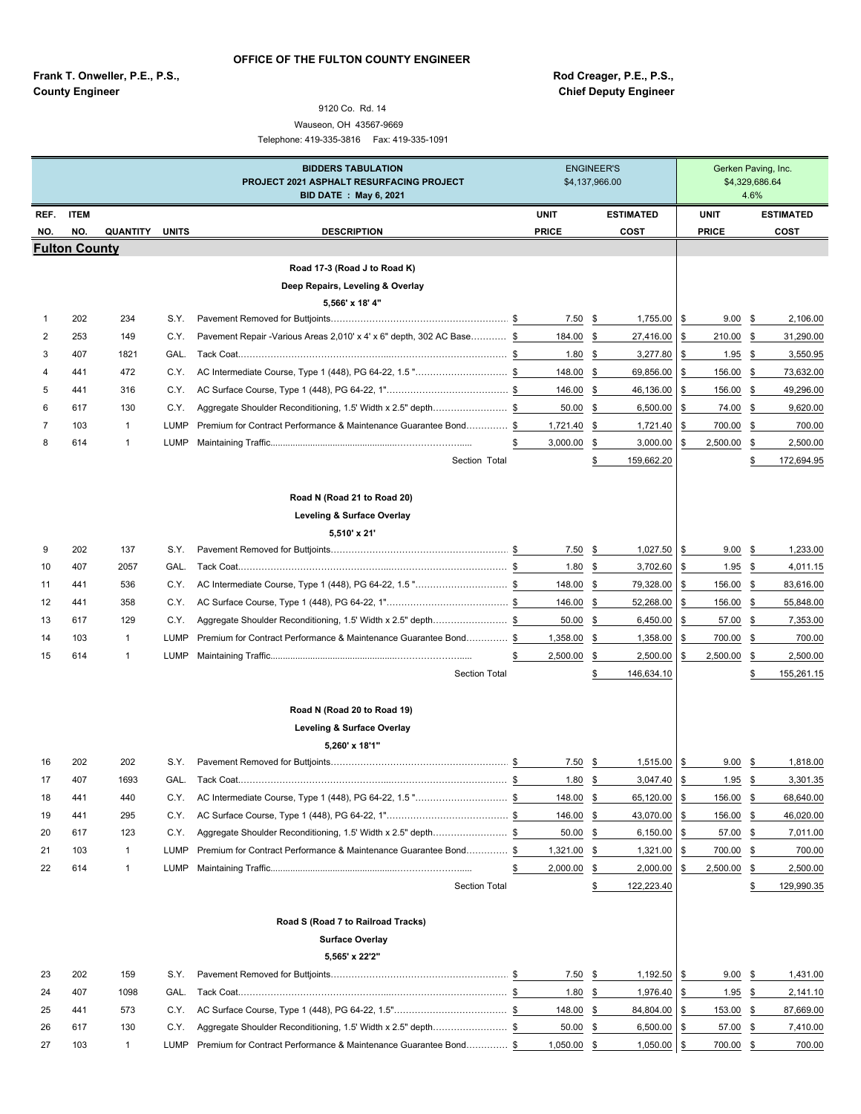**Frank T. Onweller, P.E., P.S., Rod Creager, P.E., P.S., County Engineer County Engineer** County Engineer

## 9120 Co. Rd. 14 Wauseon, OH 43567-9669

Telephone: 419-335-3816 Fax: 419-335-1091

|      |                      |              |              | <b>BIDDERS TABULATION</b><br>PROJECT 2021 ASPHALT RESURFACING PROJECT<br><b>BID DATE: May 6, 2021</b> | <b>ENGINEER'S</b><br>\$4,137,966.00 |              |     |                  |               | Gerken Paving, Inc.<br>\$4,329,686.64 | 4.6% |                  |
|------|----------------------|--------------|--------------|-------------------------------------------------------------------------------------------------------|-------------------------------------|--------------|-----|------------------|---------------|---------------------------------------|------|------------------|
| REF. | <b>ITEM</b>          |              |              |                                                                                                       |                                     | <b>UNIT</b>  |     | <b>ESTIMATED</b> |               | <b>UNIT</b>                           |      | <b>ESTIMATED</b> |
| NO.  | NO.                  | QUANTITY     | <b>UNITS</b> | <b>DESCRIPTION</b>                                                                                    |                                     | <b>PRICE</b> |     | COST             |               | <b>PRICE</b>                          |      | COST             |
|      | <b>Fulton County</b> |              |              |                                                                                                       |                                     |              |     |                  |               |                                       |      |                  |
|      |                      |              |              | Road 17-3 (Road J to Road K)                                                                          |                                     |              |     |                  |               |                                       |      |                  |
|      |                      |              |              | Deep Repairs, Leveling & Overlay                                                                      |                                     |              |     |                  |               |                                       |      |                  |
|      | 202                  | 234          | S.Y.         | 5,566' x 18' 4"                                                                                       |                                     | $7.50$ \$    |     | 1,755.00         | \$            | 9.00                                  | \$   | 2,106.00         |
| 2    | 253                  | 149          | C.Y.         | Pavement Repair - Various Areas 2,010' x 4' x 6" depth, 302 AC Base \$                                |                                     | 184.00       | \$  | 27,416.00        | \$            | 210.00                                | \$   | 31,290.00        |
| 3    | 407                  | 1821         | GAL.         |                                                                                                       |                                     | 1.80         | \$  | 3,277.80         | \$            | 1.95                                  | \$   | 3,550.95         |
| 4    | 441                  | 472          | C.Y.         | AC Intermediate Course, Type 1 (448), PG 64-22, 1.5 "\$                                               |                                     | 148.00       | \$  | 69,856.00        | \$            | 156.00                                | \$   | 73,632.00        |
| 5    | 441                  | 316          | C.Y.         |                                                                                                       |                                     | 146.00       | \$  | 46,136.00        | \$            | 156.00                                | \$   | 49,296.00        |
| 6    | 617                  | 130          | C.Y.         | Aggregate Shoulder Reconditioning, 1.5' Width x 2.5" depth\$                                          |                                     | $50.00$ \$   |     | 6,500.00         | \$            | 74.00                                 | \$   | 9,620.00         |
| 7    | 103                  | $\mathbf{1}$ | LUMP         | Premium for Contract Performance & Maintenance Guarantee Bond\$                                       |                                     | 1,721.40     | \$  | 1,721.40         | \$            | 700.00                                | \$   | 700.00           |
| 8    | 614                  | 1            | LUMP         |                                                                                                       | \$                                  | 3,000.00     | \$  | 3,000.00         | \$            | 2,500.00                              | \$   | 2,500.00         |
|      |                      |              |              | Section Total                                                                                         |                                     |              |     | 159,662.20       |               |                                       | S    | 172,694.95       |
|      |                      |              |              | Road N (Road 21 to Road 20)                                                                           |                                     |              |     |                  |               |                                       |      |                  |
|      |                      |              |              | Leveling & Surface Overlay<br>5,510' x 21'                                                            |                                     |              |     |                  |               |                                       |      |                  |
| 9    | 202                  | 137          | S.Y.         |                                                                                                       |                                     | 7.50         | \$  | 1,027.50         | \$            | 9.00                                  | \$   | 1,233.00         |
| 10   | 407                  | 2057         | GAL.         |                                                                                                       |                                     | 1.80         | \$  | 3,702.60         | \$            | 1.95                                  | \$   | 4,011.15         |
| 11   | 441                  | 536          | C.Y.         | AC Intermediate Course, Type 1 (448), PG 64-22, 1.5 "\$                                               |                                     | 148.00       | -\$ | 79,328.00        | \$            | 156.00                                | \$   | 83,616.00        |
| 12   | 441                  | 358          | C.Y.         |                                                                                                       |                                     | 146.00       | \$  | 52,268.00        | \$            | 156.00                                | \$   | 55,848.00        |
| 13   | 617                  | 129          | C.Y.         | Aggregate Shoulder Reconditioning, 1.5' Width x 2.5" depth\$                                          |                                     | 50.00        | \$  | 6,450.00         | \$            | 57.00                                 | \$   | 7,353.00         |
| 14   | 103                  | $\mathbf{1}$ | <b>LUMP</b>  | Premium for Contract Performance & Maintenance Guarantee Bond \$                                      |                                     | 1,358.00     | \$  | 1,358.00         | \$            | 700.00                                | \$   | 700.00           |
| 15   | 614                  | $\mathbf{1}$ | LUMP         |                                                                                                       | \$                                  | 2,500.00     | \$  | 2,500.00         | \$            | 2,500.00                              | \$   | 2,500.00         |
|      |                      |              |              | <b>Section Total</b>                                                                                  |                                     |              | \$  | 146,634.10       |               |                                       | S    | 155,261.15       |
|      |                      |              |              | Road N (Road 20 to Road 19)                                                                           |                                     |              |     |                  |               |                                       |      |                  |
|      |                      |              |              | Leveling & Surface Overlay                                                                            |                                     |              |     |                  |               |                                       |      |                  |
|      |                      |              |              | 5,260' x 18'1"                                                                                        |                                     |              |     |                  |               |                                       |      |                  |
| 16   | 202                  | 202          | S.Y.         |                                                                                                       |                                     | 7.50         | \$  | 1,515.00         | \$            | 9.00                                  | - \$ | 1,818.00         |
| 17   | 407                  | 1693         | GAL.         |                                                                                                       |                                     | 1.80S        |     | 3,047.40         | \$            | $1.95$ \$                             |      | 3,301.35         |
| 18   | 441                  | 440          | C.Y.         | AC Intermediate Course, Type 1 (448), PG 64-22, 1.5 "\$                                               |                                     | 148.00       | \$  | 65,120.00        | \$            | 156.00                                | \$   | 68,640.00        |
| 19   | 441                  | 295          | C.Y.         |                                                                                                       |                                     | 146.00       | \$  | 43,070.00        | \$            | 156.00                                | \$   | 46,020.00        |
| 20   | 617                  | 123          | C.Y.         | Aggregate Shoulder Reconditioning, 1.5' Width x 2.5" depth\$                                          |                                     | 50.00        | \$  | 6,150.00         | \$            | 57.00                                 | \$   | 7,011.00         |
| 21   | 103                  | $\mathbf{1}$ | LUMP         | Premium for Contract Performance & Maintenance Guarantee Bond\$                                       |                                     | 1,321.00 \$  |     | 1,321.00         | \$            | 700.00                                | \$   | 700.00           |
| 22   | 614                  | $\mathbf{1}$ | LUMP         |                                                                                                       | \$                                  | 2,000.00 \$  |     | 2,000.00         | \$            | 2,500.00                              | \$   | 2,500.00         |
|      |                      |              |              | <b>Section Total</b>                                                                                  |                                     |              | \$  | 122,223.40       |               |                                       | \$   | 129,990.35       |
|      |                      |              |              | Road S (Road 7 to Railroad Tracks)<br><b>Surface Overlay</b>                                          |                                     |              |     |                  |               |                                       |      |                  |
|      |                      |              |              | 5,565' x 22'2"                                                                                        |                                     |              |     |                  |               |                                       |      |                  |
| 23   | 202                  | 159          | S.Y.         |                                                                                                       |                                     | 7.50         | \$  | 1,192.50         | \$            | 9.00                                  | \$   | 1,431.00         |
| 24   | 407                  | 1098         | GAL.         |                                                                                                       |                                     | 1.80         | \$  | 1,976.40         | \$            | $1.95$ \$                             |      | 2,141.10         |
| 25   | 441                  | 573          | C.Y.         |                                                                                                       |                                     | $148.00$ \$  |     | 84,804.00        | $\frac{3}{2}$ | 153.00 \$                             |      | 87,669.00        |
| 26   | 617                  | 130          | C.Y.         | Aggregate Shoulder Reconditioning, 1.5' Width x 2.5" depth\$                                          |                                     | 50.00        | \$  | 6,500.00         | \$            | 57.00 \$                              |      | 7,410.00         |
| 27   | 103                  | $\mathbf{1}$ | LUMP         | Premium for Contract Performance & Maintenance Guarantee Bond\$                                       |                                     | 1,050.00 \$  |     | 1,050.00         | $\sqrt{3}$    | 700.00 \$                             |      | 700.00           |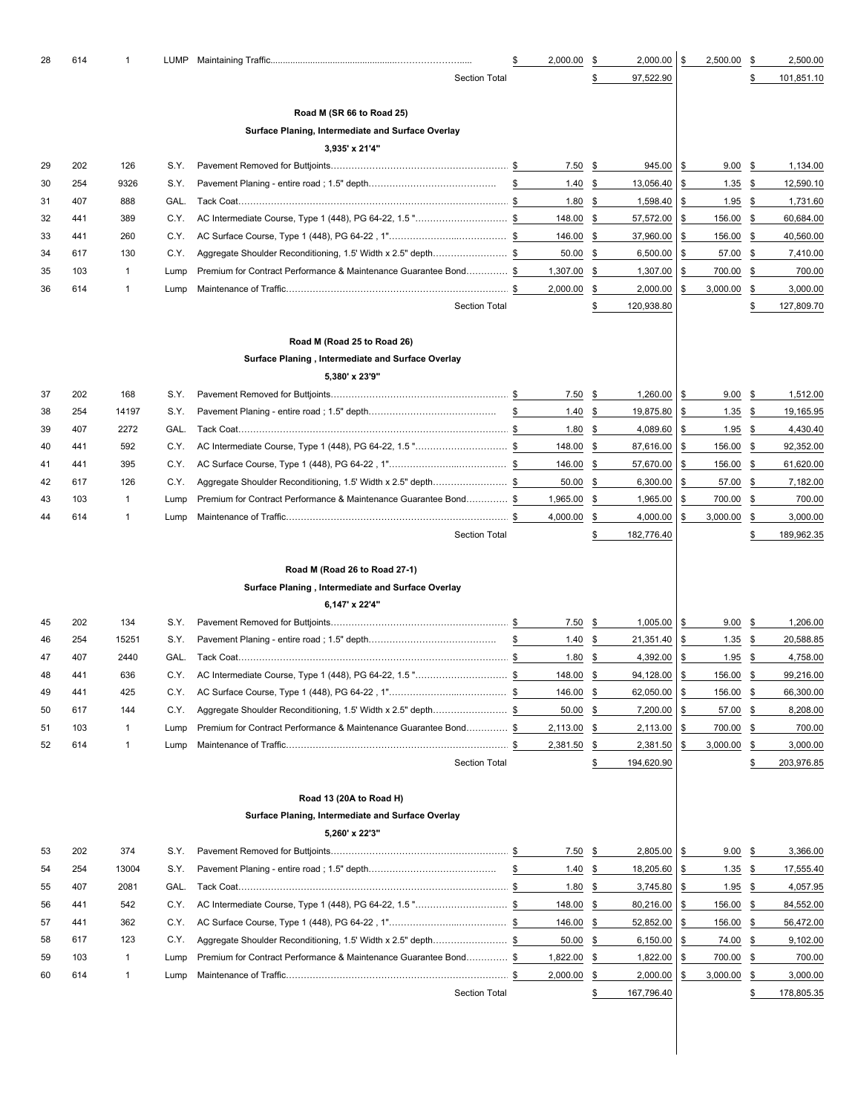| 28 | 614 | $\mathbf{1}$ | LUMP |                                                                  | 2,000.00   | \$            | 2,000.00   | \$<br>2,500.00    | \$            | 2,500.00   |
|----|-----|--------------|------|------------------------------------------------------------------|------------|---------------|------------|-------------------|---------------|------------|
|    |     |              |      | <b>Section Total</b>                                             |            |               | 97,522.90  |                   |               | 101,851.10 |
|    |     |              |      | Road M (SR 66 to Road 25)                                        |            |               |            |                   |               |            |
|    |     |              |      | Surface Planing, Intermediate and Surface Overlay                |            |               |            |                   |               |            |
|    |     |              |      | 3,935' x 21'4"                                                   |            |               |            |                   |               |            |
| 29 | 202 | 126          | S.Y. |                                                                  | 7.50       | \$            | 945.00     | \$<br>9.00        | -\$           | 1,134.00   |
| 30 | 254 | 9326         | S.Y. |                                                                  | \$<br>1.40 | \$            | 13,056.40  | \$<br>1.35        | \$            | 12,590.10  |
| 31 | 407 | 888          | GAL. |                                                                  | 1.80       | \$            | 1,598.40   | \$<br>1.95        | \$            | 1,731.60   |
| 32 | 441 | 389          | C.Y. |                                                                  | 148.00     | \$            | 57,572.00  | \$<br>156.00      | \$            | 60,684.00  |
| 33 | 441 | 260          | C.Y. |                                                                  | 146.00     | \$            | 37,960.00  | \$<br>156.00      | \$            | 40,560.00  |
| 34 | 617 | 130          | C.Y. | Aggregate Shoulder Reconditioning, 1.5' Width x 2.5" depth\$     | 50.00      | \$            | 6,500.00   | \$<br>57.00       | \$            | 7,410.00   |
| 35 | 103 | $\mathbf{1}$ | Lump | Premium for Contract Performance & Maintenance Guarantee Bond \$ | 1,307.00   | \$            | 1,307.00   | \$<br>700.00      | \$            | 700.00     |
| 36 | 614 | $\mathbf 1$  | Lump |                                                                  | 2,000.00   | \$            | 2,000.00   | \$<br>3,000.00    | \$            | 3,000.00   |
|    |     |              |      | <b>Section Total</b>                                             |            | \$            | 120,938.80 |                   | \$            | 127,809.70 |
|    |     |              |      | Road M (Road 25 to Road 26)                                      |            |               |            |                   |               |            |
|    |     |              |      | Surface Planing, Intermediate and Surface Overlay                |            |               |            |                   |               |            |
|    |     |              |      | 5,380' x 23'9"                                                   |            |               |            |                   |               |            |
| 37 | 202 | 168          | S.Y. |                                                                  | 7.50       | \$            | 1,260.00   | \$<br>9.00        | \$            | 1,512.00   |
| 38 | 254 | 14197        | S.Y. |                                                                  | \$<br>1.40 | \$            | 19,875.80  | \$<br>1.35        | \$            | 19,165.95  |
| 39 | 407 | 2272         | GAL. |                                                                  | 1.80       | \$            | 4,089.60   | \$<br>1.95        | \$            | 4,430.40   |
| 40 | 441 | 592          | C.Y. | AC Intermediate Course, Type 1 (448), PG 64-22, 1.5 "\$          | 148.00     | \$            | 87,616.00  | \$<br>156.00      | \$            | 92,352.00  |
| 41 | 441 | 395          | C.Y. |                                                                  | 146.00     | \$            | 57,670.00  | \$<br>156.00      | \$            | 61,620.00  |
| 42 | 617 | 126          | C.Y. | Aggregate Shoulder Reconditioning, 1.5' Width x 2.5" depth\$     | 50.00      | \$            | 6,300.00   | \$<br>57.00       | \$            | 7,182.00   |
| 43 | 103 | $\mathbf{1}$ | Lump | Premium for Contract Performance & Maintenance Guarantee Bond\$  | 1,965.00   | \$            | 1,965.00   | \$<br>700.00      | \$            | 700.00     |
| 44 | 614 | $\mathbf{1}$ | Lump |                                                                  | 4,000.00   | \$            | 4,000.00   | \$<br>3,000.00    | \$            | 3,000.00   |
|    |     |              |      | <b>Section Total</b>                                             |            | \$            | 182,776.40 |                   | S             | 189,962.35 |
|    |     |              |      | Road M (Road 26 to Road 27-1)                                    |            |               |            |                   |               |            |
|    |     |              |      | Surface Planing, Intermediate and Surface Overlay                |            |               |            |                   |               |            |
|    |     |              |      | 6,147' x 22'4"                                                   |            |               |            |                   |               |            |
| 45 | 202 | 134          | S.Y. |                                                                  | 7.50       | \$            | 1,005.00   | \$<br>9.00        | -\$           | 1,206.00   |
| 46 | 254 | 15251        | S.Y. |                                                                  | \$<br>1.40 | \$            | 21,351.40  | \$<br>1.35        | \$            | 20,588.85  |
| 47 | 407 | 2440         | GAL. |                                                                  | 1.80       | \$            | 4,392.00   | \$<br>1.95        | \$            | 4,758.00   |
| 48 | 441 | 636          | C.Y. | AC Intermediate Course, Type 1 (448), PG 64-22, 1.5 "\$          | 148.00     | \$            | 94,128.00  | \$<br>156.00      | \$            | 99,216.00  |
| 49 | 441 | 425          | C.Y. |                                                                  | 146.00     | \$            | 62,050.00  | \$<br>156.00      | \$            | 66,300.00  |
| 50 | 617 | 144          | C.Y. | Aggregate Shoulder Reconditioning, 1.5' Width x 2.5" depth\$     | 50.00      | \$            | 7,200.00   | \$<br>57.00       | \$            | 8,208.00   |
| 51 | 103 | $\mathbf{1}$ | Lump | Premium for Contract Performance & Maintenance Guarantee Bond \$ | 2,113.00   | \$            | 2,113.00   | \$<br>700.00      | \$            | 700.00     |
| 52 | 614 | $\mathbf{1}$ | Lump |                                                                  | 2,381.50   | \$            | 2,381.50   | \$<br>3,000.00    | \$            | 3,000.00   |
|    |     |              |      | <b>Section Total</b>                                             |            | \$            | 194,620.90 |                   | \$            | 203,976.85 |
|    |     |              |      | Road 13 (20A to Road H)                                          |            |               |            |                   |               |            |
|    |     |              |      | Surface Planing, Intermediate and Surface Overlay                |            |               |            |                   |               |            |
|    |     |              |      | 5,260' x 22'3"                                                   |            |               |            |                   |               |            |
| 53 | 202 | 374          | S.Y. |                                                                  | 7.50       | \$            | 2,805.00   | \$<br>$9.00$ \$   |               | 3,366.00   |
| 54 | 254 | 13004        | S.Y. |                                                                  | \$<br>1.40 | \$            | 18,205.60  | \$<br>1.35        | $\frac{3}{2}$ | 17,555.40  |
| 55 | 407 | 2081         | GAL. |                                                                  | 1.80       | \$            | 3,745.80   | \$<br>1.95        | <u>\$</u>     | 4,057.95   |
| 56 | 441 | 542          | C.Y. | AC Intermediate Course, Type 1 (448), PG 64-22, 1.5"\$           | 148.00     | $\frac{3}{2}$ | 80,216.00  | \$<br>$156.00$ \$ |               | 84,552.00  |
| 57 | 441 | 362          | C.Y. |                                                                  | 146.00     | \$            | 52,852.00  | \$<br>156.00      | \$            | 56,472.00  |
| 58 | 617 | 123          | C.Y. | Aggregate Shoulder Reconditioning, 1.5' Width x 2.5" depth\$     | 50.00      | \$            | 6,150.00   | \$<br>74.00       | $\frac{1}{2}$ | 9,102.00   |
| 59 | 103 | $\mathbf{1}$ | Lump | Premium for Contract Performance & Maintenance Guarantee Bond \$ | 1,822.00   | \$            | 1,822.00   | \$<br>700.00      | $\frac{1}{2}$ | 700.00     |
| 60 | 614 | $\mathbf{1}$ | Lump |                                                                  | 2,000.00   | \$            | 2,000.00   | \$<br>3,000.00    | \$            | 3,000.00   |
|    |     |              |      | <b>Section Total</b>                                             |            | \$            | 167,796.40 |                   | \$            | 178,805.35 |
|    |     |              |      |                                                                  |            |               |            |                   |               |            |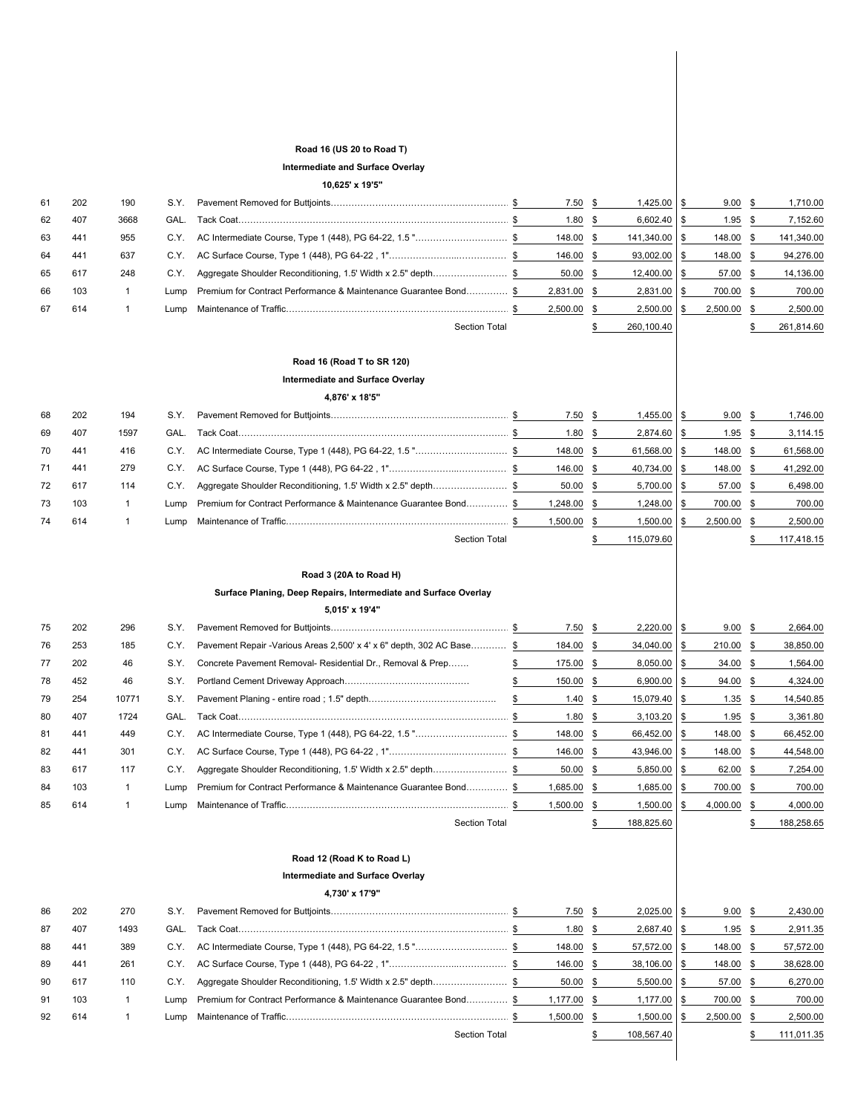# **Road 16 (US 20 to Road T)**

#### **Intermediate and Surface Overlay**

## **10,625' x 19'5"**

| 61 | 202 | 190          | S.Y. |                                                                  | 7.50        | \$   | 1,425.00 \$     |      | 9.00        | - \$ | 1,710.00   |
|----|-----|--------------|------|------------------------------------------------------------------|-------------|------|-----------------|------|-------------|------|------------|
| 62 | 407 | 3668         | GAL. |                                                                  | 1.80        | \$   | $6,602.40$ \$   |      | 1.95        | \$   | 7,152.60   |
| 63 | 441 | 955          | C.Y. | AC Intermediate Course, Type 1 (448), PG 64-22, 1.5 "\$          | 148.00      | \$   | 141,340.00 \$   |      | 148.00      | - \$ | 141,340.00 |
| 64 | 441 | 637          | C.Y. |                                                                  | 146.00      | \$   | 93,002.00       |      | 148.00      | -\$  | 94,276.00  |
| 65 | 617 | 248          | C.Y. | Aggregate Shoulder Reconditioning, 1.5' Width x 2.5" depth\$     | 50.00       | \$   | $12,400.00$ \$  |      | 57.00       | -\$  | 14,136.00  |
| 66 | 103 | $\mathbf{1}$ | Lump | Premium for Contract Performance & Maintenance Guarantee Bond \$ | 2,831.00    | \$   | 2,831.00        |      | 700.00      | - \$ | 700.00     |
| 67 | 614 |              | Lump |                                                                  | 2,500.00    | \$   | 2,500.00        |      | 2,500.00    | \$   | 2,500.00   |
|    |     |              |      | <b>Section Total</b>                                             |             |      | 260,100.40      |      |             |      | 261,814.60 |
|    |     |              |      |                                                                  |             |      |                 |      |             |      |            |
|    |     |              |      | Road 16 (Road T to SR 120)                                       |             |      |                 |      |             |      |            |
|    |     |              |      | Intermediate and Surface Overlay                                 |             |      |                 |      |             |      |            |
|    |     |              |      | 4,876' x 18'5"                                                   |             |      |                 |      |             |      |            |
| 68 | 202 | 194          | S.Y. |                                                                  | 7.50        | - \$ | $1,455.00$ \ \$ |      | 9.00        | S    | 1,746.00   |
| 69 | 407 | 1597         | GAL. |                                                                  | 1.80        | -SS  | 2,874.60        |      | 1.95        |      | 3,114.15   |
| 70 | 441 | 416          | C.Y. | AC Intermediate Course, Type 1 (448), PG 64-22, 1.5 "\$          | 148.00      | - \$ | 61,568.00       | ISS  | 148.00      | -S   | 61,568.00  |
| 71 | 441 | 279          | C.Y. |                                                                  | 146.00      | -\$  | 40,734.00 \$    |      | 148.00      | \$   | 41,292.00  |
| 72 | 617 | 114          | C.Y. | Aggregate Shoulder Reconditioning, 1.5' Width x 2.5" depth       | 50.00       | - \$ | 5,700.00        | - \$ | 57.00       | S    | 6,498.00   |
| 73 | 103 | 1            | Lump | Premium for Contract Performance & Maintenance Guarantee Bond    | 1,248.00    | - \$ | 1,248.00 \$     |      | 700.00      | - \$ | 700.00     |
| 74 | 614 |              | Lump |                                                                  | 1,500.00 \$ |      | $1,500.00$ \ \$ |      | 2.500.00 \$ |      | 2.500.00   |

#### **Road 3 (20A to Road H)**

## **Surface Planing, Deep Repairs, Intermediate and Surface Overlay**

**5,015' x 19'4"**

| 75 | 202 | 296   | S.Y. |                                                                        | 7.50       | - \$ | $2,220.00$ \$    | 9.00       |      | 2,664.00   |
|----|-----|-------|------|------------------------------------------------------------------------|------------|------|------------------|------------|------|------------|
| 76 | 253 | 185   | C.Y. | Pavement Repair - Various Areas 2,500' x 4' x 6" depth, 302 AC Base \$ | 184.00     | - \$ | $34,040.00$ \ \$ | 210.00 \$  |      | 38,850.00  |
| 77 | 202 | 46    | S.Y. | Concrete Pavement Removal- Residential Dr., Removal & Prep             | 175.00     |      | $8,050.00$ \$    | $34.00$ \$ |      | 1,564.00   |
| 78 | 452 | 46    | S.Y. |                                                                        | 150.00     | -SS  | $6,900.00$ \ \$  | 94.00 \$   |      | 4,324.00   |
| 79 | 254 | 10771 | S.Y. |                                                                        | 1.40       | - 85 | 15,079.40 \$     | 1.35       | - 35 | 14,540.85  |
| 80 | 407 | 1724  | GAL. |                                                                        | 1.80       | - \$ | $3,103.20$ \$    | 1.95       | - SS | 3,361.80   |
| 81 | 441 | 449   | C.Y. |                                                                        | 148.00     | - \$ | 66,452.00 \$     | 148.00 \$  |      | 66,452.00  |
| 82 | 441 | 301   | C.Y. |                                                                        | 146.00 \$  |      | 43,946.00 \$     | 148.00     |      | 44,548.00  |
| 83 | 617 | 117   | C.Y. | Aggregate Shoulder Reconditioning, 1.5' Width x 2.5" depth\$           | $50.00$ \$ |      | $5,850.00$ \ \$  | 62.00 \$   |      | 7,254.00   |
| 84 | 103 |       | Lump | Premium for Contract Performance & Maintenance Guarantee Bond \$       | 1,685.00   | - \$ | $1,685.00$ \$    | 700.00 \$  |      | 700.00     |
| 85 | 614 |       | Lump |                                                                        | 1,500.00   | - \$ | $1,500.00$ \ \$  | 4,000.00   |      | 4,000.00   |
|    |     |       |      | <b>Section Total</b>                                                   |            |      | 188,825.60       |            |      | 188.258.65 |

Section Total **5** 115,079.60 **\$ 117,418.15** 

# **Road 12 (Road K to Road L) Intermediate and Surface Overlay**

|    |     |      |      | 4.730' x 17'9"                                                   |             |                  |             |            |
|----|-----|------|------|------------------------------------------------------------------|-------------|------------------|-------------|------------|
| 86 | 202 | 270  | S.Y. |                                                                  | $7.50$ \$   | $2,025.00$ \$    | $9.00\ $    | 2,430.00   |
| 87 | 407 | 1493 | GAL. |                                                                  | 1.80 \$     | $2,687.40$ \$    | 1.95        | 2,911.35   |
| 88 | 441 | 389  | C.Y. |                                                                  | 148.00 \$   | 57,572.00 \$     | 148.00 \$   | 57,572.00  |
| 89 | 441 | 261  | C.Y. |                                                                  | 146.00 \$   | $38,106.00$ \ \$ | 148.00 \$   | 38,628.00  |
| 90 | 617 | 110  | C.Y. | Aggregate Shoulder Reconditioning, 1.5' Width x 2.5" depth\$     | $50.00$ \$  | $5,500.00$ \ \$  | 57.00 \$    | 6,270.00   |
| 91 | 103 |      | Lump | Premium for Contract Performance & Maintenance Guarantee Bond \$ | 1.177.00 \$ | $1,177.00$ \ \$  | 700.00 \$   | 700.00     |
| 92 | 614 |      | Lump |                                                                  | 1,500.00 \$ | $1,500.00$ \ \$  | 2,500.00 \$ | 2,500.00   |
|    |     |      |      | Section Total                                                    |             | 108.567.40       |             | 111.011.35 |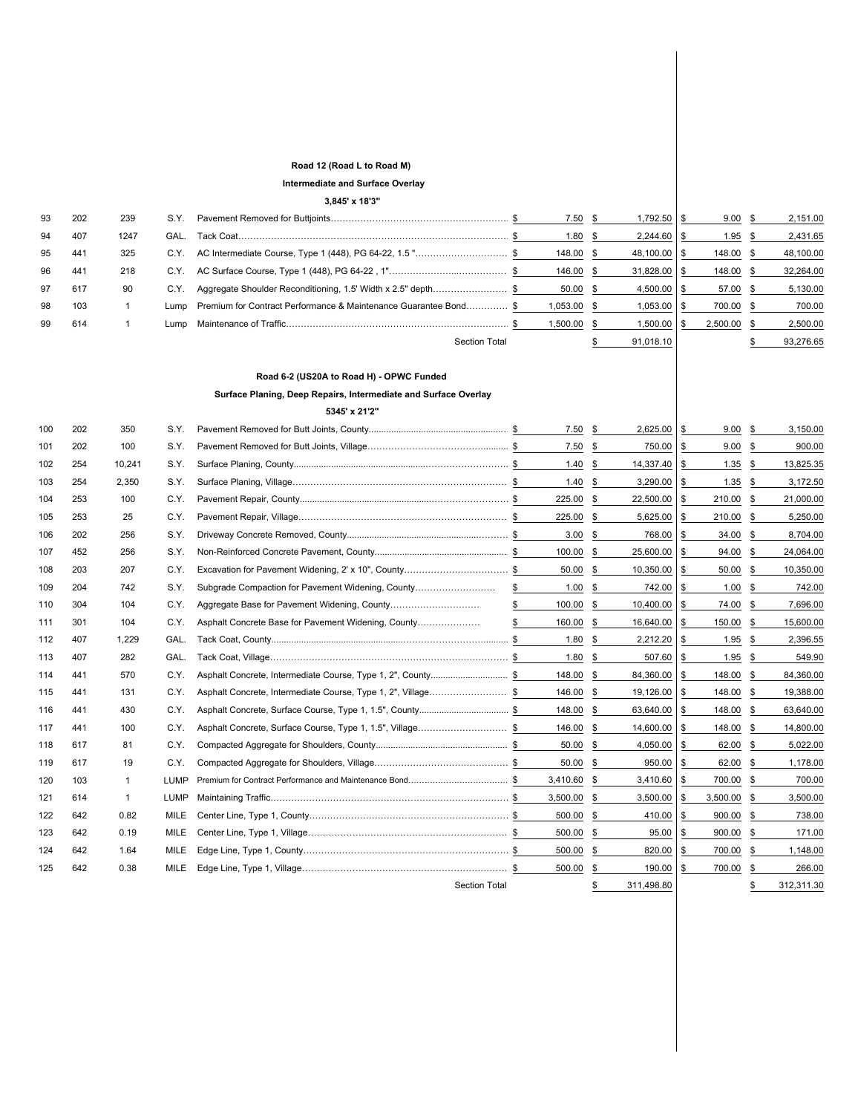## **Road 12 (Road L to Road M)**

## **Intermediate and Surface Overlay**

**3,845' x 18'3"**

|     |     |                |             | $3,845$ X 183                                                    |                |                 |               |           |     |           |
|-----|-----|----------------|-------------|------------------------------------------------------------------|----------------|-----------------|---------------|-----------|-----|-----------|
| 93  | 202 | 239            | S.Y.        |                                                                  | 7.50           | \$<br>1,792.50  | \$            | 9.00      | \$  | 2,151.00  |
| 94  | 407 | 1247           | GAL.        |                                                                  | 1.80           | \$<br>2,244.60  | \$            | 1.95      | -\$ | 2,431.65  |
| 95  | 441 | 325            | C.Y.        | AC Intermediate Course, Type 1 (448), PG 64-22, 1.5 "\$          | 148.00         | \$<br>48,100.00 | \$            | 148.00    | \$  | 48,100.00 |
| 96  | 441 | 218            | C.Y.        |                                                                  | 146.00         | \$<br>31,828.00 | \$            | 148.00    | \$  | 32,264.00 |
| 97  | 617 | 90             | C.Y.        | Aggregate Shoulder Reconditioning, 1.5' Width x 2.5" depth\$     | 50.00          | \$<br>4,500.00  | \$            | 57.00     | \$  | 5,130.00  |
| 98  | 103 | $\mathbf{1}$   | Lump        | Premium for Contract Performance & Maintenance Guarantee Bond \$ | 1,053.00       | \$<br>1,053.00  | \$            | 700.00    | \$  | 700.00    |
| 99  | 614 | $\overline{1}$ | Lump        |                                                                  | \$<br>1,500.00 | \$<br>1,500.00  | \$            | 2,500.00  | \$  | 2,500.00  |
|     |     |                |             | <b>Section Total</b>                                             |                | \$<br>91,018.10 |               |           | \$  | 93,276.65 |
|     |     |                |             |                                                                  |                |                 |               |           |     |           |
|     |     |                |             | Road 6-2 (US20A to Road H) - OPWC Funded                         |                |                 |               |           |     |           |
|     |     |                |             | Surface Planing, Deep Repairs, Intermediate and Surface Overlay  |                |                 |               |           |     |           |
|     |     |                |             | 5345' x 21'2"                                                    |                |                 |               |           |     |           |
| 100 | 202 | 350            | S.Y.        |                                                                  | 7.50           | \$<br>2,625.00  | \$            | 9.00      | \$  | 3,150.00  |
| 101 | 202 | 100            | S.Y.        |                                                                  | 7.50           | \$<br>750.00    | \$            | 9.00      | \$  | 900.00    |
| 102 | 254 | 10,241         | S.Y.        |                                                                  | 1.40           | \$<br>14,337.40 | \$            | 1.35      | \$  | 13,825.35 |
| 103 | 254 | 2,350          | S.Y.        |                                                                  | 1.40           | \$<br>3,290.00  | $\frac{1}{2}$ | $1.35$ \$ |     | 3,172.50  |
| 104 | 253 | 100            | C.Y.        |                                                                  | 225.00         | \$<br>22,500.00 | \$            | 210.00 \$ |     | 21,000.00 |
| 105 | 253 | 25             | C.Y.        |                                                                  | 225.00         | \$<br>5,625.00  | \$            | 210.00 \$ |     | 5,250.00  |
| 106 | 202 | 256            | S.Y.        |                                                                  | 3.00           | \$<br>768.00    | \$            | 34.00 \$  |     | 8,704.00  |
| 107 | 452 | 256            | S.Y.        |                                                                  | 100.00         | \$<br>25,600.00 | \$            | 94.00 \$  |     | 24,064.00 |
| 108 | 203 | 207            | C.Y.        |                                                                  | 50.00          | \$<br>10,350.00 | \$            | 50.00     | \$  | 10,350.00 |
| 109 | 204 | 742            | S.Y.        | Subgrade Compaction for Pavement Widening, County                | \$<br>1.00     | \$<br>742.00    | \$            | 1.00      | \$  | 742.00    |
| 110 | 304 | 104            | C.Y.        |                                                                  | \$<br>100.00   | \$<br>10,400.00 | \$            | 74.00 \$  |     | 7,696.00  |
| 111 | 301 | 104            | C.Y.        | Asphalt Concrete Base for Pavement Widening, County              | \$<br>160.00   | \$<br>16,640.00 | \$            | 150.00    | \$  | 15,600.00 |
| 112 | 407 | 1,229          | GAL.        |                                                                  | 1.80           | \$<br>2,212.20  | \$            | 1.95      | \$  | 2,396.55  |
| 113 | 407 | 282            | GAL.        |                                                                  | 1.80           | \$<br>507.60    | \$            | 1.95      | \$  | 549.90    |
| 114 | 441 | 570            | C.Y.        |                                                                  | 148.00         | \$<br>84,360.00 | \$            | 148.00    | \$  | 84,360.00 |
| 115 | 441 | 131            | C.Y.        | Asphalt Concrete, Intermediate Course, Type 1, 2", Village\$     | 146.00         | \$<br>19,126.00 | \$            | 148.00    | \$  | 19,388.00 |
| 116 | 441 | 430            | C.Y.        |                                                                  | 148.00         | \$<br>63,640.00 | \$            | 148.00    | \$  | 63,640.00 |
| 117 | 441 | 100            | C.Y.        | Asphalt Concrete, Surface Course, Type 1, 1.5", Village\$        | 146.00         | \$<br>14,600.00 | \$            | 148.00    | \$  | 14,800.00 |
| 118 | 617 | 81             | C.Y.        |                                                                  | 50.00          | \$<br>4,050.00  | \$            | 62.00     | \$  | 5,022.00  |
| 119 | 617 | 19             | C.Y.        |                                                                  | 50.00          | \$<br>950.00    | \$            | 62.00     | \$  | 1,178.00  |
| 120 | 103 | $\mathbf{1}$   | LUMP        |                                                                  | 3,410.60       | \$<br>3,410.60  | \$            | 700.00    | \$  | 700.00    |
| 121 | 614 | $\mathbf{1}$   | <b>LUMP</b> |                                                                  | 3,500.00       | \$<br>3,500.00  | $\frac{1}{2}$ | 3,500.00  | \$  | 3,500.00  |
| 122 | 642 | 0.82           | MILE        |                                                                  | 500.00         | \$<br>410.00    | $\frac{1}{2}$ | 900.00    | \$  | 738.00    |
| 123 | 642 | 0.19           | MILE        |                                                                  | 500.00         | \$<br>95.00     | \$            | 900.00    | \$  | 171.00    |
| 124 | 642 | 1.64           | MILE        |                                                                  | 500.00         | \$<br>820.00    | \$            | 700.00    | \$  | 1,148.00  |
| 125 | 642 | 0.38           | MILE        |                                                                  | 500.00 \$      | 190.00          | \$            | 700.00 \$ |     | 266.00    |

Section Total 311,498.80 \$ 312,311.30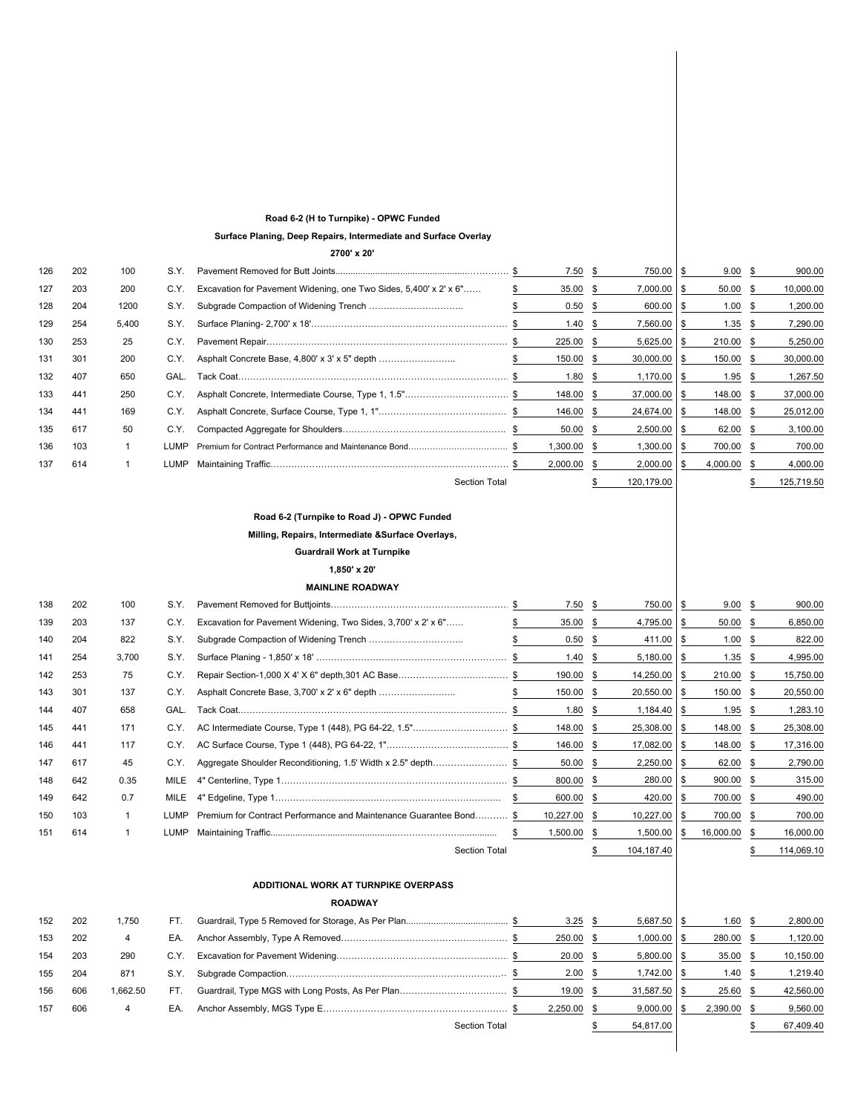#### **Road 6-2 (H to Turnpike) - OPWC Funded**

**Surface Planing, Deep Repairs, Intermediate and Surface Overlay**

**2700' x 20'**

| 126 | 202 | 100   | S.Y.        |                                                                   | 7.50     | S    | 750.00 \$        | 9.00      | -S   | 900.00     |
|-----|-----|-------|-------------|-------------------------------------------------------------------|----------|------|------------------|-----------|------|------------|
| 127 | 203 | 200   | C.Y.        | Excavation for Pavement Widening, one Two Sides, 5,400' x 2' x 6" | 35.00    | -SS  | $7,000.00$ \ \$  | 50.00     | - \$ | 10,000.00  |
| 128 | 204 | 1200  | S.Y.        |                                                                   | 0.50     |      | 600.00 \$        | 1.00      |      | 1,200.00   |
| 129 | 254 | 5,400 | S.Y.        |                                                                   | 1.40     | -SS  | $7,560.00$ \ \$  | 1.35      | S.   | 7,290.00   |
| 130 | 253 | 25    | C.Y.        |                                                                   | 225.00   | -SS  | $5,625.00$ \$    | 210.00    | S.   | 5,250.00   |
| 131 | 301 | 200   | C.Y.        | Asphalt Concrete Base, 4,800' x 3' x 5" depth                     | 150.00   | SS.  | $30,000.00$ \$   | 150.00    | -SS  | 30,000.00  |
| 132 | 407 | 650   | GAL.        |                                                                   | 1.80     | -SS  | $1,170.00$ \ \$  | 1.95      | S.   | 1,267.50   |
| 133 | 441 | 250   | C.Y.        |                                                                   | 148.00   | -SS  | $37,000.00$   \$ | 148.00 \$ |      | 37,000.00  |
| 134 | 441 | 169   | C.Y.        |                                                                   | 146.00   | -SS  | 24,674.00 \$     | 148.00    | - SS | 25,012.00  |
| 135 | 617 | 50    | C.Y.        |                                                                   | 50.00    | - SS | $2,500.00$ \ \$  | 62.00     | - 55 | 3,100.00   |
| 136 | 103 |       | <b>LUMP</b> |                                                                   | 1,300.00 | -SS  | $1,300.00$ \ \$  | 700.00 \$ |      | 700.00     |
| 137 | 614 |       | <b>LUMP</b> |                                                                   | 2,000.00 | SS.  | $2,000.00$ \ \$  | 4,000.00  | S.   | 4,000.00   |
|     |     |       |             | <b>Section Total</b>                                              |          |      | 120,179.00       |           |      | 125,719.50 |

## **Road 6-2 (Turnpike to Road J) - OPWC Funded**

## **Milling, Repairs, Intermediate &Surface Overlays,**

# **Guardrail Work at Turnpike**

**1,850' x 20'**

#### **MAINLINE ROADWAY**

| 138 | 202 | 100   | S.Y.  |                                                                    |     | $7.50$ \$       |      | 750.00         |      | 9.00        |      | 900.00     |
|-----|-----|-------|-------|--------------------------------------------------------------------|-----|-----------------|------|----------------|------|-------------|------|------------|
| 139 | 203 | 137   | C.Y.  | Excavation for Pavement Widening, Two Sides, 3,700' x 2' x 6"      |     | 35.00           |      | 4,795.00       |      | $50.00$ \$  |      | 6,850.00   |
| 140 | 204 | 822   | S.Y.  |                                                                    |     | 0.50            | - \$ | 411.00         |      | 1.00        | - 35 | 822.00     |
| 141 | 254 | 3,700 | S.Y.  |                                                                    |     | $1.40 \quad$ \$ |      | 5,180.00       |      | $1.35$ \$   |      | 4,995.00   |
| 142 | 253 | 75    | C.Y.  |                                                                    |     | 190.00          |      | 14,250.00      | - \$ | 210.00 \$   |      | 15,750.00  |
| 143 | 301 | 137   | C.Y.  | Asphalt Concrete Base, 3,700' x 2' x 6" depth                      |     | 150.00          | - \$ | $20,550.00$ \$ |      | 150.00 \$   |      | 20,550.00  |
| 144 | 407 | 658   | GAL.  |                                                                    |     | 1.80            | - 35 | 1,184.40       |      | 1.95        |      | 1,283.10   |
| 145 | 441 | 171   | C.Y.  | AC Intermediate Course, Type 1 (448), PG 64-22, 1.5"\$             |     | 148.00 \$       |      | 25,308.00      | - SS | 148.00 \$   |      | 25,308.00  |
| 146 | 441 | 117   | C.Y.  |                                                                    |     | 146.00          |      | 17,082.00      |      | 148.00 \$   |      | 17,316.00  |
| 147 | 617 | 45    | C.Y.  | Aggregate Shoulder Reconditioning, 1.5' Width x 2.5" depth\$       |     | $50.00$ \$      |      | 2,250.00       | - SS | 62.00 \$    |      | 2,790.00   |
| 148 | 642 | 0.35  | MILE  |                                                                    |     | 800.00          | - \$ | 280.00         | - SS | $900.00$ \$ |      | 315.00     |
| 149 | 642 | 0.7   | MILE  |                                                                    | -SS | 600.00          | -SS  | 420.00         |      | 700.00 \$   |      | 490.00     |
| 150 | 103 |       | LUMP. | Premium for Contract Performance and Maintenance Guarantee Bond \$ |     | 10,227.00       | - SS | 10,227.00      |      | 700.00 \$   |      | 700.00     |
| 151 | 614 |       | LUMP  |                                                                    |     | 1,500.00        | -96  | 1,500.00       | - \$ | 16,000.00   | -86  | 16,000.00  |
|     |     |       |       | <b>Section Total</b>                                               |     |                 |      | 104,187.40     |      |             |      | 114,069.10 |

## **ADDITIONAL WORK AT TURNPIKE OVERPASS**

#### **ROADWAY**

| 152 | 202 | 1.750    | FT.  |                      | $3.25$ \$   | $5,687.50$ \$    | 1.60     | 2,800.00  |
|-----|-----|----------|------|----------------------|-------------|------------------|----------|-----------|
| 153 | 202 | 4        | EA.  |                      | 250.00 \$   | $1,000.00$ \$    | 280.00   | ,120.00   |
| 154 | 203 | 290      | C.Y. |                      | $20.00$ \$  | $5,800.00$ \ \$  | 35.00    | 10,150.00 |
| 155 | 204 | 871      | S.Y. |                      | $2.00$ \$   | $1,742.00$ \$    | 1.40     | 1.219.40  |
| 156 | 606 | 1.662.50 | FT.  |                      | 19.00 \$    | $31.587.50$ \ \$ | 25.60    | 42,560.00 |
| 157 | 606 | 4        | EA.  |                      | 2,250.00 \$ | $9,000.00$ \$    | 2,390.00 | 9,560.00  |
|     |     |          |      | <b>Section Total</b> |             | 54.817.00        |          | 67.409.40 |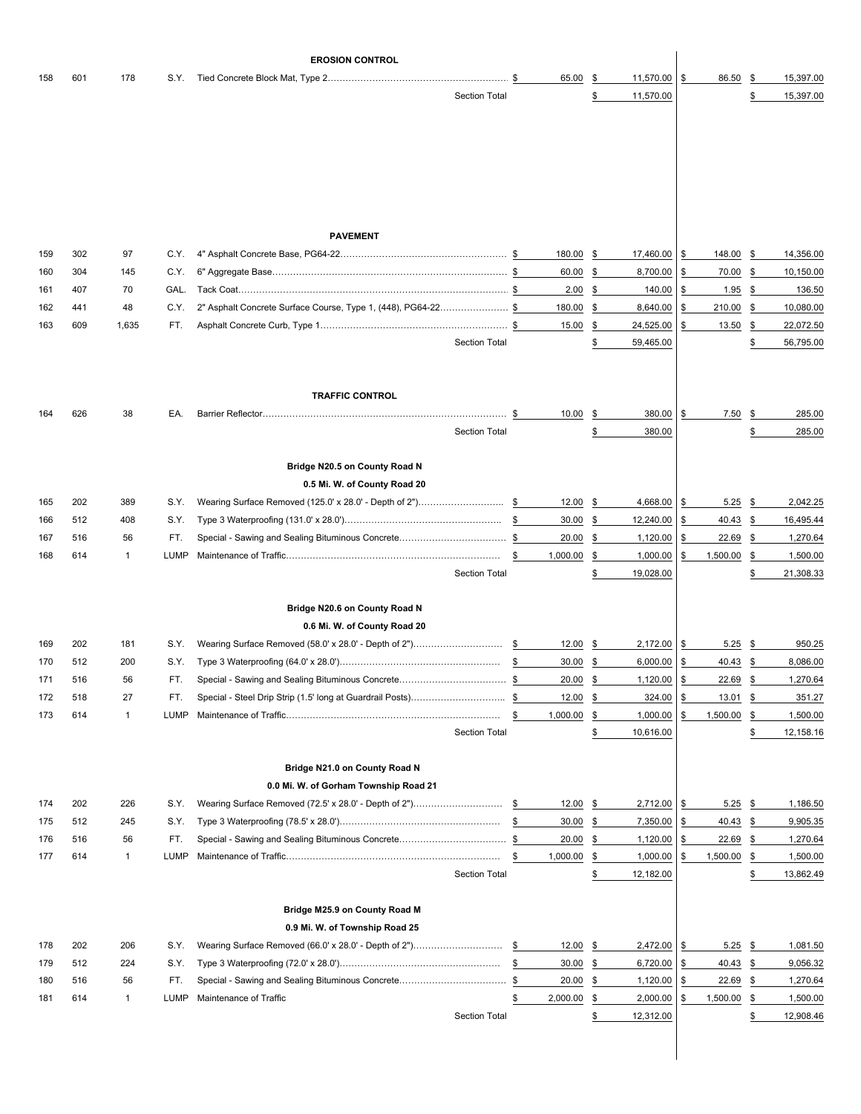|            |            |                    |              | <b>EROSION CONTROL</b>                                                     |                      |          |                   |               |                      |          |                    |                     |                      |
|------------|------------|--------------------|--------------|----------------------------------------------------------------------------|----------------------|----------|-------------------|---------------|----------------------|----------|--------------------|---------------------|----------------------|
| 158        | 601        | 178                | S.Y.         |                                                                            |                      |          | 65.00             | -\$           | 11,570.00            | \$       | 86.50              | \$                  | 15,397.00            |
|            |            |                    |              |                                                                            | <b>Section Total</b> |          |                   | \$            | 11,570.00            |          |                    | \$                  | 15,397.00            |
|            |            |                    |              |                                                                            |                      |          |                   |               |                      |          |                    |                     |                      |
|            |            |                    |              |                                                                            |                      |          |                   |               |                      |          |                    |                     |                      |
|            |            |                    |              |                                                                            |                      |          |                   |               |                      |          |                    |                     |                      |
|            |            |                    |              |                                                                            |                      |          |                   |               |                      |          |                    |                     |                      |
|            |            |                    |              |                                                                            |                      |          |                   |               |                      |          |                    |                     |                      |
|            |            |                    |              |                                                                            |                      |          |                   |               |                      |          |                    |                     |                      |
|            |            |                    |              | <b>PAVEMENT</b>                                                            |                      |          |                   |               |                      |          |                    |                     |                      |
| 159        | 302        | 97                 | C.Y.         |                                                                            |                      |          | 180.00            | \$            | 17,460.00            | \$       | 148.00             | -\$                 | 14,356.00            |
| 160        | 304        | 145                | C.Y.         |                                                                            |                      |          | 60.00             | \$            | 8,700.00             | \$       | 70.00              | \$                  | 10,150.00            |
| 161<br>162 | 407<br>441 | 70<br>48           | GAL.<br>C.Y. | 2" Asphalt Concrete Surface Course, Type 1, (448), PG64-22\$               |                      |          | 2.00<br>180.00    | \$<br>\$      | 140.00<br>8,640.00   | \$<br>\$ | 1.95<br>210.00     | \$<br>\$            | 136.50<br>10,080.00  |
| 163        | 609        | 1,635              | FT.          |                                                                            |                      |          | 15.00             | \$            | 24,525.00            | \$       | 13.50              | \$                  | 22,072.50            |
|            |            |                    |              |                                                                            | <b>Section Total</b> |          |                   | \$            | 59,465.00            |          |                    | \$                  | 56,795.00            |
|            |            |                    |              |                                                                            |                      |          |                   |               |                      |          |                    |                     |                      |
|            |            |                    |              |                                                                            |                      |          |                   |               |                      |          |                    |                     |                      |
|            |            |                    |              | <b>TRAFFIC CONTROL</b>                                                     |                      |          |                   |               |                      |          |                    |                     |                      |
| 164        | 626        | 38                 | EA.          |                                                                            |                      | \$       | 10.00             | \$            | 380.00               | \$       | 7.50               | \$                  | 285.00               |
|            |            |                    |              |                                                                            | <b>Section Total</b> |          |                   | \$            | 380.00               |          |                    | \$                  | 285.00               |
|            |            |                    |              |                                                                            |                      |          |                   |               |                      |          |                    |                     |                      |
|            |            |                    |              | Bridge N20.5 on County Road N<br>0.5 Mi. W. of County Road 20              |                      |          |                   |               |                      |          |                    |                     |                      |
| 165        | 202        | 389                | S.Y.         |                                                                            |                      |          | 12.00             | \$            | 4,668.00             | \$       | 5.25               | \$                  | 2,042.25             |
| 166        | 512        | 408                | S.Y.         |                                                                            |                      | \$       | 30.00             | \$            | 12,240.00            | \$       | 40.43              | \$                  | 16,495.44            |
| 167        | 516        | 56                 | FT.          |                                                                            |                      |          | 20.00             | \$            | 1,120.00             | \$       | 22.69              | - \$                | 1,270.64             |
| 168        | 614        | $\mathbf{1}$       | LUMP         |                                                                            |                      | \$       | 1,000.00          | \$            | 1,000.00             | \$       | 1,500.00           | \$                  | 1,500.00             |
|            |            |                    |              |                                                                            | <b>Section Total</b> |          |                   | \$            | 19,028.00            |          |                    | \$                  | 21,308.33            |
|            |            |                    |              |                                                                            |                      |          |                   |               |                      |          |                    |                     |                      |
|            |            |                    |              | Bridge N20.6 on County Road N                                              |                      |          |                   |               |                      |          |                    |                     |                      |
| 169        | 202        | 181                | S.Y.         | 0.6 Mi. W. of County Road 20                                               |                      |          | 12.00             | - \$          | 2,172.00             | \$       |                    |                     |                      |
| 170        | 512        | 200                | S.Y.         | Wearing Surface Removed (58.0' x 28.0' - Depth of 2")                      |                      | \$<br>\$ | 30.00             | \$            | 6,000.00             | \$       | 5.25<br>40.43      | \$<br>$\mathbf{\$}$ | 950.25<br>8,086.00   |
| 171        | 516        | 56                 | FT.          |                                                                            |                      |          | 20.00             | \$            | 1,120.00             | \$       | 22.69              | \$                  | 1,270.64             |
| 172        | 518        | 27                 | FT.          |                                                                            |                      |          | 12.00             | \$            | 324.00               |          | 13.01              | \$                  | 351.27               |
| 173        | 614        | $\mathbf{1}$       | LUMP         |                                                                            |                      | \$       | 1,000.00          | \$            | 1,000.00             | \$       | 1,500.00           | \$                  | 1,500.00             |
|            |            |                    |              |                                                                            | <b>Section Total</b> |          |                   | \$            | 10,616.00            |          |                    | \$                  | 12,158.16            |
|            |            |                    |              |                                                                            |                      |          |                   |               |                      |          |                    |                     |                      |
|            |            |                    |              | Bridge N21.0 on County Road N                                              |                      |          |                   |               |                      |          |                    |                     |                      |
|            |            |                    |              | 0.0 Mi. W. of Gorham Township Road 21                                      |                      |          |                   |               |                      |          |                    |                     |                      |
| 174<br>175 | 202<br>512 | 226<br>245         | S.Y.<br>S.Y. |                                                                            |                      | \$       | 12.00<br>30.00    | \$<br>\$      | 2,712.00<br>7,350.00 | \$<br>\$ | $5.25$ \$<br>40.43 | \$                  | 1,186.50<br>9,905.35 |
| 176        | 516        | 56                 | FT.          |                                                                            |                      |          | 20.00             | $\frac{1}{2}$ | 1,120.00             | \$       | 22.69              | $\frac{3}{2}$       | 1,270.64             |
| 177        | 614        | $\mathbf{1}$       | LUMP         |                                                                            |                      | \$       | 1,000.00          | \$            | 1,000.00             | \$       | 1,500.00           | \$                  | 1,500.00             |
|            |            |                    |              |                                                                            | <b>Section Total</b> |          |                   | \$            | 12,182.00            |          |                    | \$                  | 13,862.49            |
|            |            |                    |              |                                                                            |                      |          |                   |               |                      |          |                    |                     |                      |
|            |            |                    |              | Bridge M25.9 on County Road M                                              |                      |          |                   |               |                      |          |                    |                     |                      |
|            |            |                    |              | 0.9 Mi. W. of Township Road 25                                             |                      |          |                   |               |                      |          |                    |                     |                      |
| 178        | 202        | 206                | S.Y.         |                                                                            |                      |          | 12.00             | \$            | 2,472.00             | \$       | 5.25               | \$                  | 1,081.50             |
| 179        | 512        | 224                | S.Y.         |                                                                            |                      | \$       | 30.00             | \$            | 6,720.00             | \$       | 40.43              | $\frac{3}{2}$       | 9,056.32             |
| 180<br>181 | 516<br>614 | 56<br>$\mathbf{1}$ | FT.<br>LUMP  | Special - Sawing and Sealing Bituminous Concrete<br>Maintenance of Traffic |                      | \$<br>\$ | 20.00<br>2,000.00 | \$<br>\$      | 1,120.00<br>2,000.00 | \$<br>\$ | 22.69<br>1,500.00  | $\frac{3}{2}$<br>\$ | 1,270.64<br>1,500.00 |
|            |            |                    |              |                                                                            | <b>Section Total</b> |          |                   | \$            | 12,312.00            |          |                    | \$                  | 12,908.46            |
|            |            |                    |              |                                                                            |                      |          |                   |               |                      |          |                    |                     |                      |
|            |            |                    |              |                                                                            |                      |          |                   |               |                      |          |                    |                     |                      |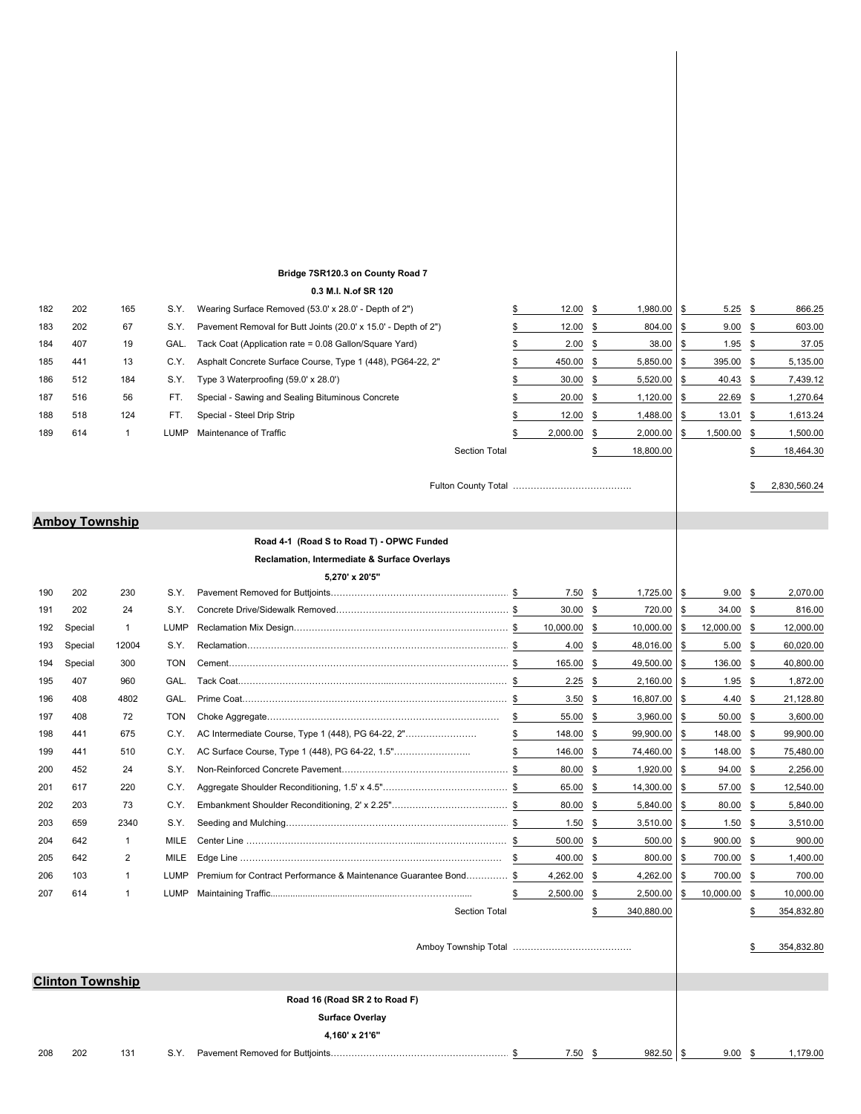# **Bridge 7SR120.3 on County Road 7**

#### **0.3 M.I. N.of SR 120**

| 182        | 202                     | 165               | S.Y.                | Wearing Surface Removed (53.0' x 28.0' - Depth of 2")          |                      | \$       | 12.00              | \$       | 1,980.00             | \$       | 5.25             | <u>s</u>  | 866.25             |
|------------|-------------------------|-------------------|---------------------|----------------------------------------------------------------|----------------------|----------|--------------------|----------|----------------------|----------|------------------|-----------|--------------------|
| 183        | 202                     | 67                | S.Y.                | Pavement Removal for Butt Joints (20.0' x 15.0' - Depth of 2") |                      | \$       | 12.00              | \$       | 804.00               | \$       | 9.00             | \$        | 603.00             |
| 184        | 407                     | 19                | GAL.                | Tack Coat (Application rate = 0.08 Gallon/Square Yard)         |                      | \$       | 2.00               | \$       | 38.00                | \$       | 1.95             | \$        | 37.05              |
| 185        | 441                     | 13                | C.Y.                | Asphalt Concrete Surface Course, Type 1 (448), PG64-22, 2"     |                      | \$       | 450.00             | \$       | 5,850.00             | \$       | 395.00           | \$        | 5,135.00           |
| 186        | 512                     | 184               | S.Y.                | Type 3 Waterproofing (59.0' x 28.0')                           |                      | \$       | 30.00              | \$       | 5,520.00             | \$       | 40.43            | \$        | 7,439.12           |
| 187        | 516                     | 56                | FT.                 | Special - Sawing and Sealing Bituminous Concrete               |                      | \$       | 20.00              | \$       | 1,120.00             | \$       | 22.69            | <u>\$</u> | 1,270.64           |
| 188        | 518                     | 124               | FT.                 | Special - Steel Drip Strip                                     |                      | \$       | 12.00              | \$       | 1,488.00             | \$       | 13.01            | \$        | 1,613.24           |
| 189        | 614                     | 1                 | LUMP                | Maintenance of Traffic                                         |                      | \$       | 2,000.00           | \$       | 2,000.00             | \$       | 1,500.00         | <u>\$</u> | 1,500.00           |
|            |                         |                   |                     |                                                                | <b>Section Total</b> |          |                    | \$       | 18,800.00            |          |                  |           | 18,464.30          |
|            |                         |                   |                     |                                                                |                      |          |                    |          |                      |          |                  |           |                    |
|            |                         |                   |                     |                                                                |                      |          |                    |          |                      |          |                  |           | 2,830,560.24       |
|            |                         |                   |                     |                                                                |                      |          |                    |          |                      |          |                  |           |                    |
|            | <b>Amboy Township</b>   |                   |                     |                                                                |                      |          |                    |          |                      |          |                  |           |                    |
|            |                         |                   |                     | Road 4-1 (Road S to Road T) - OPWC Funded                      |                      |          |                    |          |                      |          |                  |           |                    |
|            |                         |                   |                     | Reclamation, Intermediate & Surface Overlays                   |                      |          |                    |          |                      |          |                  |           |                    |
|            |                         |                   |                     | 5,270' x 20'5"                                                 |                      |          |                    |          |                      |          |                  |           |                    |
| 190        | 202                     | 230               | S.Y.                |                                                                |                      |          | 7.50               | \$       | 1,725.00             | \$       | 9.00             | \$        | 2,070.00           |
| 191        | 202                     | 24                | S.Y.                |                                                                |                      |          | 30.00              | \$       | 720.00               | \$       | $34.00$ \$       |           | 816.00             |
| 192        | Special                 | $\mathbf{1}$      | <b>LUMP</b>         |                                                                |                      |          | 10,000.00          | \$       | 10,000.00            | \$       | 12,000.00 \$     |           | 12,000.00          |
| 193        | Special                 | 12004             | S.Y.                |                                                                |                      |          | 4.00               | \$       | 48,016.00            | \$       | 5.00             | - \$      | 60,020.00          |
| 194        | Special                 | 300               | TON                 |                                                                |                      |          | 165.00             | \$       | 49,500.00            | \$       | 136.00           | -\$       | 40,800.00          |
| 195        | 407                     | 960               | GAL.                |                                                                |                      | - \$     | 2.25               | \$       | 2,160.00             | \$       | 1.95             | - \$      | 1,872.00           |
| 196        | 408                     | 4802              | GAL.                |                                                                |                      | \$       | 3.50               | \$       | 16,807.00            | \$       | 4.40             | \$        | 21,128.80          |
| 197        | 408                     | 72                | TON                 |                                                                |                      | \$       | 55.00              | \$       | 3,960.00             | \$       | 50.00            | \$        | 3,600.00           |
| 198        | 441                     | 675               | C.Y.                | AC Intermediate Course, Type 1 (448), PG 64-22, 2"             |                      | \$       | 148.00             | \$       | 99,900.00            | \$       | 148.00 \$        |           | 99,900.00          |
| 199        | 441                     | 510               | C.Y.                | AC Surface Course, Type 1 (448), PG 64-22, 1.5"                |                      | \$       | 146.00             | \$       | 74,460.00            | \$       | 148.00           | -\$       | 75,480.00          |
| 200        | 452                     | 24                | S.Y.                |                                                                |                      | \$       | 80.00              | \$       | 1,920.00             | \$       | 94.00            | - \$      | 2,256.00           |
| 201        | 617                     | 220               | C.Y.                |                                                                |                      |          | 65.00              | \$       | 14,300.00            | \$       | 57.00            | <u>\$</u> | 12,540.00          |
| 202        | 203                     | 73                | C.Y.                |                                                                |                      |          | 80.00              | \$       | 5,840.00             | \$       | 80.00            | \$        | 5,840.00           |
| 203        | 659                     | 2340              | S.Y.                |                                                                |                      |          | 1.50               | \$       | 3,510.00             | \$       | 1.50             | \$        | 3,510.00           |
| 204        | 642                     | $\mathbf{1}$<br>2 | MILE                |                                                                |                      |          | 500.00             | \$       | 500.00               | \$       | 900.00           | \$        | 900.00<br>1,400.00 |
| 205        | 642<br>103              | 1                 | MILE<br><b>LUMP</b> | Premium for Contract Performance & Maintenance Guarantee Bond  |                      | \$       | 400.00<br>4,262.00 | \$<br>\$ | 800.00               | \$       | 700.00<br>700.00 | \$        | 700.00             |
| 206<br>207 | 614                     | 1                 | LUMP                |                                                                |                      | \$<br>\$ | 2,500.00           | \$       | 4,262.00<br>2,500.00 | \$<br>\$ | 10,000.00        | \$<br>\$  | 10,000.00          |
|            |                         |                   |                     |                                                                | <b>Section Total</b> |          |                    | \$       | 340,880.00           |          |                  | \$        | 354,832.80         |
|            |                         |                   |                     |                                                                |                      |          |                    |          |                      |          |                  |           |                    |
|            |                         |                   |                     |                                                                |                      |          |                    |          |                      |          |                  |           | 354,832.80         |
|            |                         |                   |                     |                                                                |                      |          |                    |          |                      |          |                  |           |                    |
|            | <b>Clinton Township</b> |                   |                     |                                                                |                      |          |                    |          |                      |          |                  |           |                    |
|            |                         |                   |                     | Road 16 (Road SR 2 to Road F)                                  |                      |          |                    |          |                      |          |                  |           |                    |
|            |                         |                   |                     | <b>Surface Overlay</b>                                         |                      |          |                    |          |                      |          |                  |           |                    |
|            |                         |                   |                     | 4,160' x 21'6"                                                 |                      |          |                    |          |                      |          |                  |           |                    |
| 208        | 202                     | 131               | S.Y.                |                                                                |                      | \$       | $7.50$ \$          |          | 982.50               | \$       | $9.00$ \$        |           | 1,179.00           |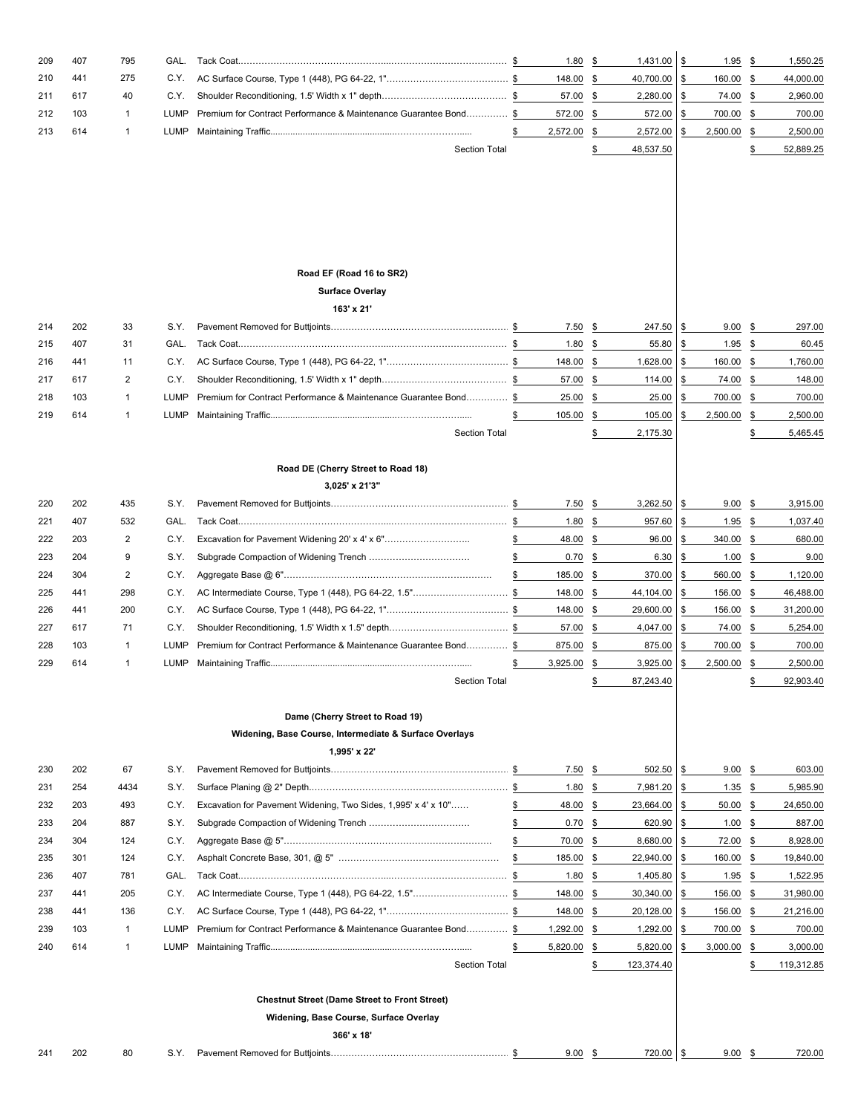| 209 | 407 | 795          | GAL.        |                                                                  | 1.80           | \$       | 1,431.00   | \$            | 1.95                  | \$            | 1,550.25   |
|-----|-----|--------------|-------------|------------------------------------------------------------------|----------------|----------|------------|---------------|-----------------------|---------------|------------|
| 210 | 441 | 275          | C.Y.        |                                                                  | 148.00         | \$       | 40,700.00  | \$            | 160.00                | \$            | 44,000.00  |
| 211 | 617 | 40           | C.Y.        |                                                                  | 57.00          | \$       | 2,280.00   | \$            | 74.00                 | \$            | 2,960.00   |
| 212 | 103 | $\mathbf{1}$ | LUMP        | Premium for Contract Performance & Maintenance Guarantee Bond \$ | 572.00         | \$       | 572.00     | \$            | 700.00                | \$            | 700.00     |
| 213 | 614 | $\mathbf{1}$ | LUMP        |                                                                  | 2,572.00       | \$       | 2,572.00   | \$            | 2,500.00              | \$            | 2,500.00   |
|     |     |              |             | <b>Section Total</b>                                             |                | \$       | 48,537.50  |               |                       | \$            | 52,889.25  |
|     |     |              |             |                                                                  |                |          |            |               |                       |               |            |
|     |     |              |             |                                                                  |                |          |            |               |                       |               |            |
|     |     |              |             |                                                                  |                |          |            |               |                       |               |            |
|     |     |              |             |                                                                  |                |          |            |               |                       |               |            |
|     |     |              |             |                                                                  |                |          |            |               |                       |               |            |
|     |     |              |             |                                                                  |                |          |            |               |                       |               |            |
|     |     |              |             | Road EF (Road 16 to SR2)                                         |                |          |            |               |                       |               |            |
|     |     |              |             | <b>Surface Overlay</b>                                           |                |          |            |               |                       |               |            |
|     |     |              |             | 163' x 21'                                                       |                |          |            |               |                       |               |            |
| 214 | 202 | 33           | S.Y.        |                                                                  | 7.50           | \$       | 247.50     | \$            | 9.00                  | \$            | 297.00     |
| 215 | 407 | 31           | GAL.        |                                                                  | 1.80           | \$       | 55.80      | \$            | 1.95                  | $\frac{3}{2}$ | 60.45      |
| 216 | 441 | 11           | C.Y.        |                                                                  | 148.00         | \$       | 1,628.00   | \$            | 160.00                | \$            | 1,760.00   |
| 217 | 617 | 2            | C.Y.        |                                                                  | 57.00          | \$       | 114.00     | \$            | 74.00                 | \$            | 148.00     |
| 218 | 103 | $\mathbf{1}$ | <b>LUMP</b> | Premium for Contract Performance & Maintenance Guarantee Bond \$ | 25.00          | \$       | 25.00      | \$            | 700.00                | \$            | 700.00     |
| 219 | 614 | $\mathbf{1}$ | LUMP        |                                                                  | 105.00         | \$       | 105.00     | \$            | 2,500.00              | \$            | 2,500.00   |
|     |     |              |             | <b>Section Total</b>                                             |                | \$       | 2,175.30   |               |                       | \$            | 5,465.45   |
|     |     |              |             |                                                                  |                |          |            |               |                       |               |            |
|     |     |              |             | Road DE (Cherry Street to Road 18)                               |                |          |            |               |                       |               |            |
| 220 | 202 | 435          | S.Y.        | 3,025' x 21'3"                                                   |                |          | 3,262.50   |               |                       |               | 3,915.00   |
| 221 | 407 | 532          | GAL.        |                                                                  | 7.50<br>1.80   | \$<br>\$ | 957.60     | \$<br>\$      | $9.00$ \$             | \$            | 1,037.40   |
| 222 | 203 | 2            | C.Y.        | Excavation for Pavement Widening 20' x 4' x 6"                   | \$<br>48.00    | \$       | 96.00      | \$            | <u>1.95</u><br>340.00 | \$            | 680.00     |
| 223 | 204 | 9            | S.Y.        |                                                                  | \$<br>0.70     | \$       | 6.30       | \$            | 1.00                  | <u>s</u>      | 9.00       |
| 224 | 304 | 2            | C.Y.        |                                                                  | \$<br>185.00   | \$       | 370.00     | \$            | 560.00                | -\$           | 1,120.00   |
| 225 | 441 | 298          | C.Y.        | AC Intermediate Course, Type 1 (448), PG 64-22, 1.5"\$           | 148.00         | \$       | 44,104.00  | \$            | 156.00                | -\$           | 46,488.00  |
| 226 | 441 | 200          | C.Y.        |                                                                  | 148.00         | \$       | 29,600.00  | \$            | 156.00                | <u>\$</u>     | 31,200.00  |
| 227 | 617 | 71           | C.Y.        |                                                                  | 57.00          | \$       | 4,047.00   | \$            | 74.00                 | \$            | 5,254.00   |
| 228 | 103 | $\mathbf{1}$ | LUMP        | Premium for Contract Performance & Maintenance Guarantee Bond    | \$<br>875.00   | \$       | 875.00     | \$            | 700.00                | \$            | 700.00     |
| 229 | 614 | $\mathbf{1}$ | LUMP.       |                                                                  | \$<br>3,925.00 | \$       | 3,925.00   | \$            | 2,500.00              | \$            | 2,500.00   |
|     |     |              |             | <b>Section Total</b>                                             |                | \$       | 87,243.40  |               |                       | \$            | 92,903.40  |
|     |     |              |             |                                                                  |                |          |            |               |                       |               |            |
|     |     |              |             | Dame (Cherry Street to Road 19)                                  |                |          |            |               |                       |               |            |
|     |     |              |             | Widening, Base Course, Intermediate & Surface Overlays           |                |          |            |               |                       |               |            |
|     |     |              |             | 1,995' x 22'                                                     |                |          |            |               |                       |               |            |
| 230 | 202 | 67           | S.Y.        |                                                                  | 7.50           | \$       | 502.50     | \$            | $9.00$ \$             |               | 603.00     |
| 231 | 254 | 4434         | S.Y.        |                                                                  | 1.80           | \$       | 7,981.20   | \$            | 1.35                  | $\frac{3}{2}$ | 5,985.90   |
| 232 | 203 | 493          | C.Y.        | Excavation for Pavement Widening, Two Sides, 1,995' x 4' x 10"   | \$<br>48.00    | \$       | 23,664.00  | \$            | 50.00                 | \$            | 24,650.00  |
| 233 | 204 | 887          | S.Y.        |                                                                  | \$<br>0.70     | \$       | 620.90     | \$            | 1.00                  | \$            | 887.00     |
| 234 | 304 | 124          | C.Y.        |                                                                  | \$<br>70.00    | \$       | 8,680.00   | \$            | 72.00                 | \$            | 8,928.00   |
| 235 | 301 | 124          | C.Y.        |                                                                  | \$<br>185.00   | \$       | 22,940.00  | \$            | 160.00                | \$            | 19,840.00  |
| 236 | 407 | 781          | GAL.        |                                                                  | 1.80           | \$       | 1,405.80   | $\frac{1}{2}$ | 1.95                  | $\frac{3}{2}$ | 1,522.95   |
| 237 | 441 | 205          | C.Y.        | AC Intermediate Course, Type 1 (448), PG 64-22, 1.5"\$           | 148.00         | \$       | 30,340.00  | \$            | 156.00                | \$            | 31,980.00  |
| 238 | 441 | 136          | C.Y.        |                                                                  | 148.00         | \$       | 20,128.00  | \$            | 156.00                | \$            | 21,216.00  |
| 239 | 103 | $\mathbf{1}$ | <b>LUMP</b> | Premium for Contract Performance & Maintenance Guarantee Bond\$  | 1,292.00       | \$       | 1,292.00   | \$            | 700.00                | \$            | 700.00     |
| 240 | 614 | $\mathbf{1}$ | LUMP        |                                                                  | \$<br>5,820.00 | \$       | 5,820.00   | \$            | 3,000.00              | \$            | 3,000.00   |
|     |     |              |             | <b>Section Total</b>                                             |                | \$       | 123,374.40 |               |                       | \$            | 119,312.85 |
|     |     |              |             |                                                                  |                |          |            |               |                       |               |            |
|     |     |              |             | <b>Chestnut Street (Dame Street to Front Street)</b>             |                |          |            |               |                       |               |            |
|     |     |              |             | Widening, Base Course, Surface Overlay                           |                |          |            |               |                       |               |            |
|     |     |              |             | 366' x 18'                                                       |                |          |            |               |                       |               |            |
| 241 | 202 | 80           |             |                                                                  | $9.00$ \$      |          | 720.00 \$  |               | $9.00$ \$             |               | 720.00     |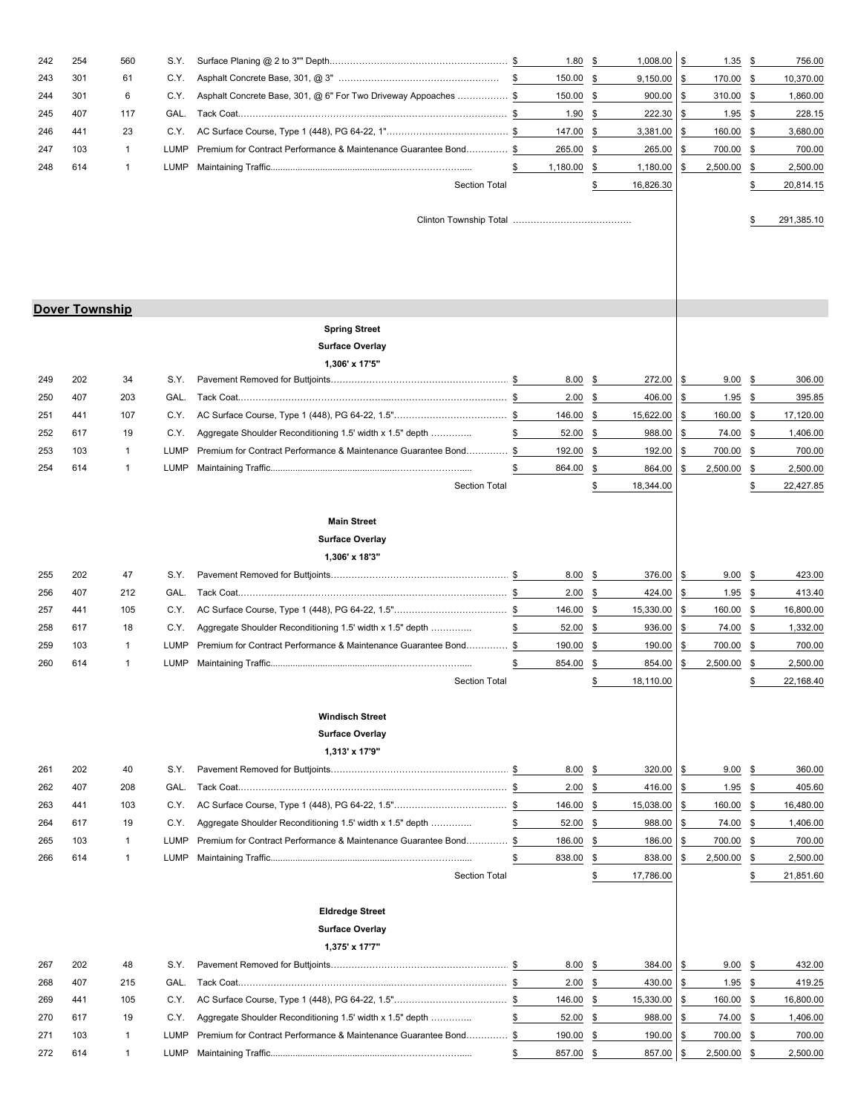| 242 | 254                   | 560          | S.Y. |                                                                  | 1.80           | 1,008.00<br>\$      | \$<br>1.35        | \$        | 756.00     |
|-----|-----------------------|--------------|------|------------------------------------------------------------------|----------------|---------------------|-------------------|-----------|------------|
| 243 | 301                   | 61           | C.Y. |                                                                  | 150.00         | \$<br>9,150.00      | \$<br>170.00      | \$        | 10,370.00  |
| 244 | 301                   | 6            | C.Y. | Asphalt Concrete Base, 301, @ 6" For Two Driveway Appoaches  \$  | 150.00         | 900.00<br>\$        | \$<br>310.00      | \$        | 1,860.00   |
| 245 | 407                   | 117          | GAL. |                                                                  | 1.90           | \$<br>222.30        | \$<br>1.95        | \$        | 228.15     |
| 246 | 441                   | 23           | C.Y. |                                                                  | 147.00         | \$<br>3,381.00      | \$<br>160.00      | \$        | 3,680.00   |
| 247 | 103                   | $\mathbf{1}$ | LUMP | Premium for Contract Performance & Maintenance Guarantee Bond \$ | 265.00         | \$<br>265.00        | \$<br>700.00      | \$        | 700.00     |
| 248 | 614                   | 1            | LUMP |                                                                  | \$<br>1,180.00 | \$<br>1,180.00      | \$<br>2,500.00    | \$        | 2,500.00   |
|     |                       |              |      | <b>Section Total</b>                                             |                | 16,826.30<br>\$     |                   | \$        | 20,814.15  |
|     |                       |              |      |                                                                  |                |                     |                   |           |            |
|     |                       |              |      |                                                                  |                |                     |                   |           | 291,385.10 |
|     |                       |              |      |                                                                  |                |                     |                   |           |            |
|     |                       |              |      |                                                                  |                |                     |                   |           |            |
|     |                       |              |      |                                                                  |                |                     |                   |           |            |
|     |                       |              |      |                                                                  |                |                     |                   |           |            |
|     | <b>Dover Township</b> |              |      |                                                                  |                |                     |                   |           |            |
|     |                       |              |      | <b>Spring Street</b>                                             |                |                     |                   |           |            |
|     |                       |              |      | <b>Surface Overlay</b>                                           |                |                     |                   |           |            |
|     |                       |              |      | 1,306' x 17'5"                                                   |                |                     |                   |           |            |
| 249 | 202                   | 34           | S.Y. |                                                                  | 8.00           | 272.00<br>\$        | \$<br>9.00        | \$        | 306.00     |
| 250 | 407                   | 203          | GAL. |                                                                  | 2.00           | \$<br>406.00        | \$<br>1.95        | \$        | 395.85     |
| 251 | 441                   | 107          | C.Y. |                                                                  | 146.00         | \$<br>15,622.00     | \$<br>160.00      | \$        | 17,120.00  |
| 252 | 617                   | 19           | C.Y. | Aggregate Shoulder Reconditioning 1.5' width x 1.5" depth        | \$<br>52.00    | \$<br>988.00        | \$<br>74.00       | \$        | 1,406.00   |
| 253 | 103                   | $\mathbf{1}$ | LUMP | Premium for Contract Performance & Maintenance Guarantee Bond\$  | 192.00         | 192.00<br>\$        | \$<br>700.00      | \$        | 700.00     |
| 254 | 614                   | $\mathbf{1}$ | LUMP |                                                                  | \$<br>864.00   | \$<br>864.00        | \$<br>2,500.00    | \$        | 2,500.00   |
|     |                       |              |      | <b>Section Total</b>                                             |                | 18,344.00<br>S      |                   | \$        | 22,427.85  |
|     |                       |              |      | <b>Main Street</b>                                               |                |                     |                   |           |            |
|     |                       |              |      | <b>Surface Overlay</b>                                           |                |                     |                   |           |            |
|     |                       |              |      | 1,306' x 18'3"                                                   |                |                     |                   |           |            |
| 255 | 202                   | 47           | S.Y. |                                                                  | 8.00           | \$<br>376.00        | \$<br>9.00        | \$        | 423.00     |
| 256 | 407                   | 212          | GAL. |                                                                  | 2.00           | 424.00<br><u>\$</u> | \$<br>1.95        | <u>\$</u> | 413.40     |
| 257 | 441                   | 105          | C.Y. |                                                                  | 146.00         | \$<br>15,330.00     | \$<br>160.00      | \$        | 16,800.00  |
| 258 | 617                   | 18           | C.Y. | Aggregate Shoulder Reconditioning 1.5' width x 1.5" depth        | \$<br>52.00    | 936.00<br>\$        | \$<br>74.00       | \$        | 1,332.00   |
| 259 | 103                   | $\mathbf{1}$ | LUMP | Premium for Contract Performance & Maintenance Guarantee Bond \$ | 190.00         | \$<br>190.00        | \$<br>700.00      | \$        | 700.00     |
| 260 | 614                   | 1            | LUMP |                                                                  | \$<br>854.00   | 854.00<br>\$        | \$<br>2,500.00    | \$        | 2,500.00   |
|     |                       |              |      | <b>Section Total</b>                                             |                | \$<br>18,110.00     |                   | \$        | 22,168.40  |
|     |                       |              |      |                                                                  |                |                     |                   |           |            |
|     |                       |              |      | <b>Windisch Street</b>                                           |                |                     |                   |           |            |
|     |                       |              |      | <b>Surface Overlay</b>                                           |                |                     |                   |           |            |
|     |                       |              |      | 1,313' x 17'9"                                                   |                |                     |                   |           |            |
| 261 | 202                   | 40           | S.Y. |                                                                  | 8.00           | 320.00<br>\$        | \$<br>$9.00$ \$   |           | 360.00     |
| 262 | 407                   | 208          | GAL. |                                                                  | 2.00           | \$<br>416.00        | \$<br>$1.95$ \$   |           | 405.60     |
| 263 | 441                   | 103          | C.Y. |                                                                  | 146.00         | \$<br>15,038.00     | \$<br>160.00      | \$        | 16,480.00  |
| 264 | 617                   | 19           | C.Y. | Aggregate Shoulder Reconditioning 1.5' width x 1.5" depth        | \$<br>52.00    | \$<br>988.00        | \$<br>74.00       | \$        | 1,406.00   |
| 265 | 103                   | $\mathbf{1}$ | LUMP | Premium for Contract Performance & Maintenance Guarantee Bond \$ | 186.00         | \$<br>186.00        | \$<br>700.00      | \$        | 700.00     |
| 266 | 614                   | $\mathbf{1}$ | LUMP |                                                                  | \$<br>838.00   | \$<br>838.00        | \$<br>2,500.00    | \$        | 2,500.00   |
|     |                       |              |      | <b>Section Total</b>                                             |                | \$<br>17,786.00     |                   | \$        | 21,851.60  |
|     |                       |              |      |                                                                  |                |                     |                   |           |            |
|     |                       |              |      | <b>Eldredge Street</b>                                           |                |                     |                   |           |            |
|     |                       |              |      | <b>Surface Overlay</b>                                           |                |                     |                   |           |            |
|     |                       |              |      | 1,375' x 17'7"                                                   |                |                     |                   |           |            |
| 267 | 202                   | 48           | S.Y. |                                                                  | 8.00           | 384.00<br>\$        | \$<br>$9.00$ \$   |           | 432.00     |
| 268 | 407                   | 215          | GAL. |                                                                  | 2.00           | \$<br>430.00        | \$<br>1.95        | \$        | 419.25     |
| 269 | 441                   | 105          | C.Y. |                                                                  | 146.00         | \$<br>15,330.00     | \$<br>160.00      | \$        | 16,800.00  |
| 270 | 617                   | 19           | C.Y. | Aggregate Shoulder Reconditioning 1.5' width x 1.5" depth        | \$<br>52.00    | \$<br>988.00        | \$<br>74.00 \$    |           | 1,406.00   |
| 271 | 103                   | $\mathbf{1}$ | LUMP | Premium for Contract Performance & Maintenance Guarantee Bond    | \$<br>190.00   | \$<br>190.00        | \$<br>700.00      | \$        | 700.00     |
| 272 | 614                   | $\mathbf{1}$ | LUMP |                                                                  | \$<br>857.00   | \$<br>857.00        | \$<br>2,500.00 \$ |           | 2,500.00   |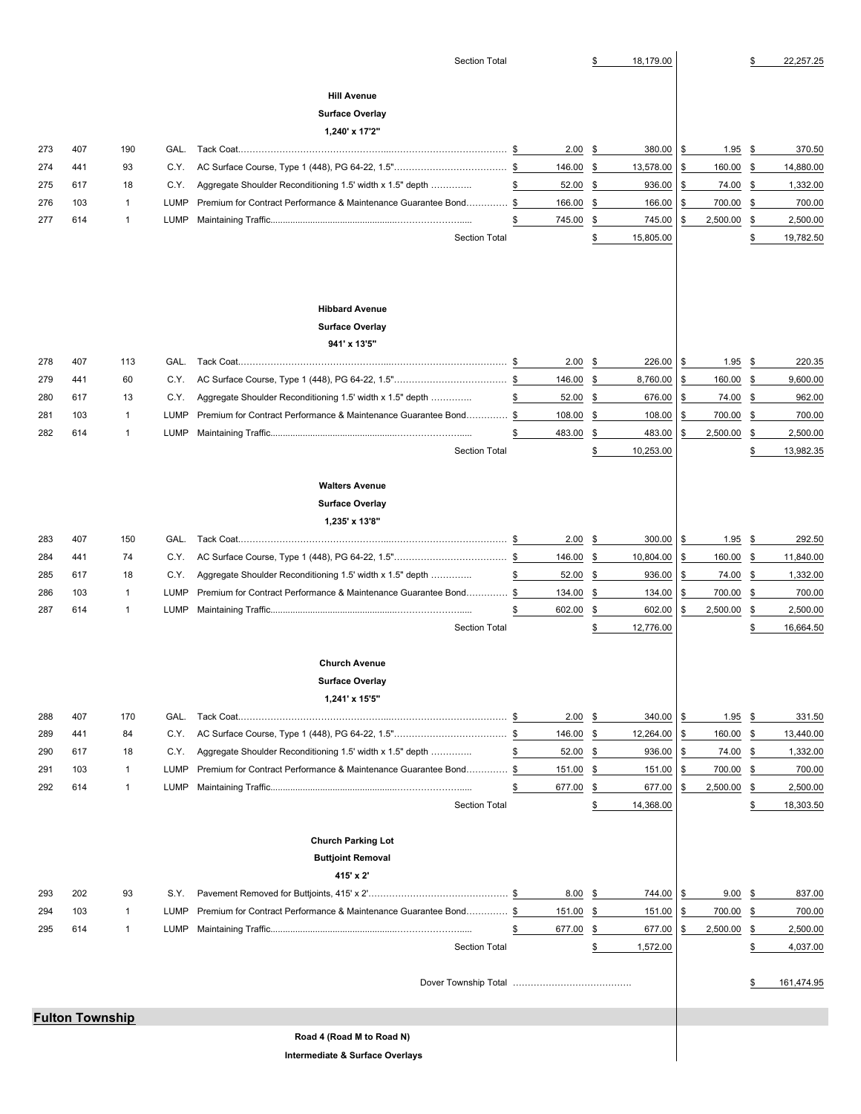|                                 |                        |                             |              | <b>Section Total</b>                                               |    |                | S             | 18,179.00           |          |                    | S             | 22,257.25             |
|---------------------------------|------------------------|-----------------------------|--------------|--------------------------------------------------------------------|----|----------------|---------------|---------------------|----------|--------------------|---------------|-----------------------|
|                                 |                        |                             |              |                                                                    |    |                |               |                     |          |                    |               |                       |
|                                 |                        |                             |              | <b>Hill Avenue</b>                                                 |    |                |               |                     |          |                    |               |                       |
|                                 |                        |                             |              | <b>Surface Overlay</b>                                             |    |                |               |                     |          |                    |               |                       |
|                                 |                        |                             |              | 1,240' x 17'2"                                                     |    |                |               |                     |          |                    |               |                       |
| 273<br>274                      | 407<br>441             | 190<br>93                   | GAL.<br>C.Y. |                                                                    |    | 2.00<br>146.00 | \$<br>\$      | 380.00<br>13,578.00 | \$<br>\$ | 1.95<br>160.00     | - \$<br>\$    | 370.50<br>14,880.00   |
| 275                             | 617                    | 18                          | C.Y.         | Aggregate Shoulder Reconditioning 1.5' width x 1.5" depth          | \$ | 52.00          | \$            | 936.00              | \$       | 74.00              | \$            | 1,332.00              |
| 276                             | 103                    | $\mathbf{1}$                | LUMP         | Premium for Contract Performance & Maintenance Guarantee Bond\$    |    | 166.00         | \$            | 166.00              | \$       | 700.00             | \$            | 700.00                |
| 277                             | 614                    | $\mathbf{1}$                | LUMP         |                                                                    | \$ | 745.00         | \$            | 745.00              | \$       | 2,500.00           | \$            | 2,500.00              |
|                                 |                        |                             |              | <b>Section Total</b>                                               |    |                | \$            | 15,805.00           |          |                    | \$            | 19,782.50             |
|                                 |                        |                             |              | <b>Hibbard Avenue</b><br><b>Surface Overlay</b><br>941' x 13'5"    |    |                |               |                     |          |                    |               |                       |
| 278                             | 407                    | 113                         | GAL.         |                                                                    |    | 2.00           | \$            | 226.00              | \$       | 1.95               | \$            | 220.35                |
| 279                             | 441                    | 60                          | C.Y.         |                                                                    |    | 146.00         | \$            | 8,760.00            | \$       | 160.00             | \$            | 9,600.00              |
| 280                             | 617                    | 13                          | C.Y.         | Aggregate Shoulder Reconditioning 1.5' width x 1.5" depth          | \$ | 52.00          | \$            | 676.00              | \$       | 74.00              | $\frac{3}{2}$ | 962.00                |
| 281                             | 103                    | $\mathbf{1}$                | LUMP         | Premium for Contract Performance & Maintenance Guarantee Bond \$   |    | 108.00         | \$            | 108.00              | \$       | 700.00             | \$            | 700.00                |
| 282                             | 614                    | $\mathbf{1}$                | LUMP         |                                                                    | \$ | 483.00         | \$            | 483.00              | \$       | 2,500.00           | \$            | 2,500.00              |
|                                 |                        |                             |              | <b>Section Total</b>                                               |    |                | \$            | 10,253.00           |          |                    | \$            | 13,982.35             |
|                                 |                        |                             |              |                                                                    |    |                |               |                     |          |                    |               |                       |
| 283                             | 407                    | 150                         | GAL.         | <b>Walters Avenue</b><br><b>Surface Overlay</b><br>1,235' x 13'8"  |    | 2.00           | \$            | 300.00              | \$       | 1.95               | \$            | 292.50                |
| 284                             | 441                    | 74                          | C.Y.         |                                                                    |    | 146.00         | \$            | 10,804.00           | \$       | 160.00             | \$            | 11,840.00             |
| 285                             | 617                    | 18                          | C.Y.         | Aggregate Shoulder Reconditioning 1.5' width x 1.5" depth          | \$ | 52.00          | \$            | 936.00              | \$       | 74.00              | $\frac{3}{2}$ | 1,332.00              |
| 286                             | 103                    | $\mathbf{1}$                | LUMP         | Premium for Contract Performance & Maintenance Guarantee Bond \$   |    | 134.00         | \$            | 134.00              | \$       | 700.00             | \$            | 700.00                |
| 287                             | 614                    | $\mathbf{1}$                | LUMP         |                                                                    | \$ | 602.00         | \$            | 602.00              | \$       | 2,500.00           | \$            | 2,500.00              |
|                                 |                        |                             |              | <b>Section Total</b>                                               |    |                | \$            | 12,776.00           |          |                    | \$            | 16,664.50             |
|                                 |                        |                             |              | <b>Church Avenue</b>                                               |    |                |               |                     |          |                    |               |                       |
|                                 |                        |                             |              | <b>Surface Overlay</b>                                             |    |                |               |                     |          |                    |               |                       |
|                                 |                        |                             |              | 1,241' x 15'5"                                                     |    |                |               |                     |          |                    |               |                       |
| 288                             | 407                    | 170                         | GAL.         |                                                                    |    | 2.00           | \$            | 340.00              | \$       | 1.95               | - \$          | 331.50                |
| 289                             | 441                    | 84                          | C.Y.         |                                                                    |    | 146.00         | \$            | 12,264.00           | \$       | 160.00             | \$            | 13,440.00             |
| 290                             | 617                    | 18                          | C.Y.         | Aggregate Shoulder Reconditioning 1.5' width x 1.5" depth          | \$ | 52.00          | $\frac{3}{2}$ | 936.00              | \$       | 74.00              | <u>\$</u>     | 1,332.00              |
| 291<br>292                      | 103                    | $\mathbf 1$<br>$\mathbf{1}$ | LUMP         | Premium for Contract Performance & Maintenance Guarantee Bond\$    |    | 151.00         | \$            | 151.00              | \$       | 700.00<br>2,500.00 | -\$           | 700.00                |
|                                 | 614                    |                             | LUMP         | <b>Section Total</b>                                               | \$ | 677.00         | \$<br>\$      | 677.00<br>14,368.00 | \$       |                    | \$<br>\$      | 2,500.00<br>18,303.50 |
|                                 |                        |                             |              |                                                                    |    |                |               |                     |          |                    |               |                       |
|                                 |                        |                             |              | <b>Church Parking Lot</b><br><b>Buttjoint Removal</b><br>415' x 2' |    |                |               |                     |          |                    |               |                       |
| 293                             | 202                    | 93                          | S.Y.         |                                                                    |    | 8.00           | \$            | 744.00              | \$       | 9.00               | \$            | 837.00                |
| 294                             | 103                    | $\mathbf{1}$                | LUMP         | Premium for Contract Performance & Maintenance Guarantee Bond \$   |    | 151.00         | \$            | 151.00              | \$       | 700.00             | \$            | 700.00                |
| 295                             | 614                    | $\mathbf{1}$                | LUMP         |                                                                    | \$ | 677.00         | \$            | 677.00              | \$       | 2,500.00           | $\frac{3}{2}$ | 2,500.00              |
|                                 |                        |                             |              | <b>Section Total</b>                                               |    |                | \$            | 1,572.00            |          |                    | \$            | 4,037.00              |
|                                 |                        |                             |              |                                                                    |    |                |               |                     |          |                    | S             | 161,474.95            |
|                                 | <b>Fulton Township</b> |                             |              |                                                                    |    |                |               |                     |          |                    |               |                       |
|                                 |                        |                             |              | Road 4 (Road M to Road N)                                          |    |                |               |                     |          |                    |               |                       |
| Intermediate & Surface Overlays |                        |                             |              |                                                                    |    |                |               |                     |          |                    |               |                       |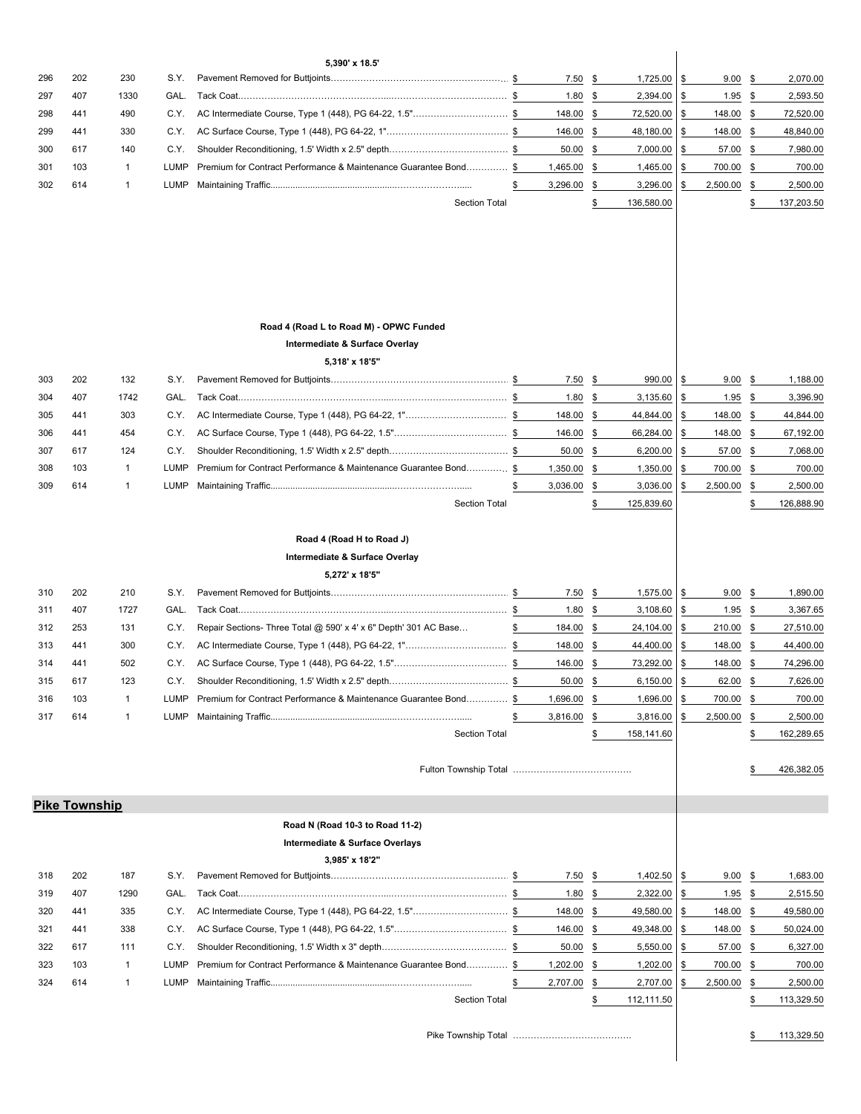| 296        | 202                  | 230          | S.Y.         | 5,390' x 18.5'                                                   |    | 7.50              | 1,725.00<br>\$                         | \$       | 9.00                   | \$        | 2,070.00              |
|------------|----------------------|--------------|--------------|------------------------------------------------------------------|----|-------------------|----------------------------------------|----------|------------------------|-----------|-----------------------|
| 297        | 407                  | 1330         | GAL.         |                                                                  |    | 1.80              | \$<br>2,394.00                         | \$       | 1.95                   | -\$       | 2,593.50              |
| 298        | 441                  | 490          | C.Y.         | AC Intermediate Course, Type 1 (448), PG 64-22, 1.5"\$           |    | 148.00            | \$<br>72,520.00                        | \$       | 148.00 \$              |           | 72,520.00             |
| 299        | 441                  | 330          | C.Y.         |                                                                  |    | 146.00            | \$<br>48,180.00                        | \$       | 148.00                 | -\$       | 48,840.00             |
| 300        | 617                  | 140          | C.Y.         |                                                                  |    | 50.00             | \$<br>7,000.00                         | \$       | 57.00                  | \$        | 7,980.00              |
| 301        | 103                  | $\mathbf{1}$ | LUMP         | Premium for Contract Performance & Maintenance Guarantee Bond \$ |    | 1,465.00          | \$<br>1,465.00                         | \$       | 700.00                 | -\$       | 700.00                |
| 302        | 614                  | $\mathbf{1}$ | LUMP         |                                                                  | \$ | 3,296.00          | \$<br>3,296.00                         | \$       | 2,500.00               | -\$       | 2,500.00              |
|            |                      |              |              | <b>Section Total</b>                                             |    |                   | \$<br>136,580.00                       |          |                        | \$        | 137,203.50            |
|            |                      |              |              |                                                                  |    |                   |                                        |          |                        |           |                       |
|            |                      |              |              |                                                                  |    |                   |                                        |          |                        |           |                       |
|            |                      |              |              |                                                                  |    |                   |                                        |          |                        |           |                       |
|            |                      |              |              |                                                                  |    |                   |                                        |          |                        |           |                       |
|            |                      |              |              |                                                                  |    |                   |                                        |          |                        |           |                       |
|            |                      |              |              | Road 4 (Road L to Road M) - OPWC Funded                          |    |                   |                                        |          |                        |           |                       |
|            |                      |              |              | Intermediate & Surface Overlay                                   |    |                   |                                        |          |                        |           |                       |
|            |                      |              |              | 5,318' x 18'5"                                                   |    |                   |                                        |          |                        |           |                       |
| 303        | 202                  | 132          | S.Y.         |                                                                  |    | 7.50              | 990.00<br>\$                           | \$       | 9.00                   | -\$       | 1,188.00              |
| 304        | 407                  | 1742         | GAL.         |                                                                  |    | 1.80              | \$<br>3,135.60                         | \$       | 1.95                   | \$        | 3,396.90              |
| 305        | 441                  | 303          | C.Y.         | AC Intermediate Course, Type 1 (448), PG 64-22, 1"\$             |    | 148.00            | \$<br>44,844.00                        | \$       | 148.00                 | \$        | 44,844.00             |
| 306        | 441                  | 454          | C.Y.         |                                                                  |    | 146.00            | $\frac{1}{2}$<br>66,284.00             | \$       | 148.00 \$              |           | 67,192.00             |
| 307        | 617                  | 124          | C.Y.         |                                                                  |    | $50.00$ \$        | 6,200.00                               | \$       | 57.00 \$               |           | 7,068.00              |
| 308        | 103                  | $\mathbf 1$  | LUMP         | Premium for Contract Performance & Maintenance Guarantee Bond \$ |    | 1,350.00          | \$<br>1,350.00                         | \$       | 700.00 \$              |           | 700.00                |
| 309        | 614                  | $\mathbf{1}$ | LUMP         |                                                                  | \$ | 3,036.00          | \$<br>3,036.00                         | \$       | 2,500.00               | \$        | 2,500.00              |
|            |                      |              |              | <b>Section Total</b>                                             |    |                   | \$<br>125,839.60                       |          |                        | \$        | 126,888.90            |
|            |                      |              |              |                                                                  |    |                   |                                        |          |                        |           |                       |
|            |                      |              |              | Road 4 (Road H to Road J)                                        |    |                   |                                        |          |                        |           |                       |
|            |                      |              |              | Intermediate & Surface Overlay                                   |    |                   |                                        |          |                        |           |                       |
|            |                      |              |              | 5,272' x 18'5"                                                   |    |                   |                                        |          |                        |           |                       |
| 310        | 202                  | 210          | S.Y.         |                                                                  |    | 7.50              | 1,575.00<br>\$                         | \$       | 9.00                   | \$        | 1,890.00              |
| 311<br>312 | 407<br>253           | 1727<br>131  | GAL.<br>C.Y. | Repair Sections- Three Total @ 590' x 4' x 6" Depth' 301 AC Base | \$ | 1.80<br>184.00 \$ | $\frac{1}{2}$<br>3,108.60<br>24,104.00 | \$<br>\$ | $1.95$ \$<br>210.00 \$ |           | 3,367.65<br>27,510.00 |
| 313        | 441                  | 300          | C.Y.         | AC Intermediate Course, Type 1 (448), PG 64-22, 1"\$             |    | 148.00 \$         | 44,400.00                              | \$       | 148.00 \$              |           | 44,400.00             |
| 314        | 441                  | 502          | C.Y.         |                                                                  |    | 146.00 \$         | 73,292.00                              | \$       | 148.00 \$              |           | 74,296.00             |
| 315        | 617                  | 123          | C.Y.         |                                                                  |    | 50.00             | 6,150.00<br>S                          | \$       | 62.00                  | \$        | 7,626.00              |
| 316        | 103                  | $\mathbf{1}$ | LUMP         | Premium for Contract Performance & Maintenance Guarantee Bond \$ |    | 1,696.00          | 1,696.00<br>\$                         | \$       | 700.00                 | \$        | 700.00                |
| 317        | 614                  | $\mathbf{1}$ | LUMP         |                                                                  |    | 3,816.00          | \$<br>3,816.00                         | \$       | 2,500.00               | -\$       | 2,500.00              |
|            |                      |              |              | <b>Section Total</b>                                             |    |                   | 158,141.60<br>\$                       |          |                        | \$        | 162,289.65            |
|            |                      |              |              |                                                                  |    |                   |                                        |          |                        |           |                       |
|            |                      |              |              |                                                                  |    |                   |                                        |          |                        |           | 426,382.05            |
|            |                      |              |              |                                                                  |    |                   |                                        |          |                        |           |                       |
|            | <b>Pike Township</b> |              |              |                                                                  |    |                   |                                        |          |                        |           |                       |
|            |                      |              |              | Road N (Road 10-3 to Road 11-2)                                  |    |                   |                                        |          |                        |           |                       |
|            |                      |              |              | Intermediate & Surface Overlays                                  |    |                   |                                        |          |                        |           |                       |
| 318        | 202                  | 187          | S.Y.         | 3,985' x 18'2"                                                   |    | 7.50              |                                        |          |                        |           |                       |
| 319        | 407                  | 1290         | GAL.         |                                                                  |    | 1.80              | 1,402.50<br>\$<br>2,322.00<br>\$       | \$<br>\$ | 9.00<br>1.95           | \$<br>-\$ | 1,683.00<br>2,515.50  |
| 320        | 441                  | 335          | C.Y.         | AC Intermediate Course, Type 1 (448), PG 64-22, 1.5"\$           |    | 148.00            | \$<br>49,580.00                        | \$       | 148.00 \$              |           | 49,580.00             |
| 321        | 441                  | 338          | C.Y.         |                                                                  |    | 146.00            | \$<br>49,348.00                        | \$       | 148.00                 | -\$       | 50,024.00             |
| 322        | 617                  | 111          | C.Y.         |                                                                  |    | 50.00             | 5,550.00<br>\$                         | \$       | 57.00                  | -\$       | 6,327.00              |
| 323        | 103                  | $\mathbf{1}$ | LUMP         | Premium for Contract Performance & Maintenance Guarantee Bond\$  |    | 1,202.00          | \$<br>1,202.00                         | \$       | 700.00                 | -\$       | 700.00                |
| 324        | 614                  | $\mathbf{1}$ | LUMP         |                                                                  |    | 2,707.00          | 2,707.00<br>\$                         | \$       | 2,500.00               | -\$       | 2,500.00              |
|            |                      |              |              | Section Total                                                    |    |                   | \$<br>112,111.50                       |          |                        | \$        | 113,329.50            |
|            |                      |              |              |                                                                  |    |                   |                                        |          |                        |           |                       |
|            |                      |              |              |                                                                  |    |                   |                                        |          |                        |           | 113,329.50            |